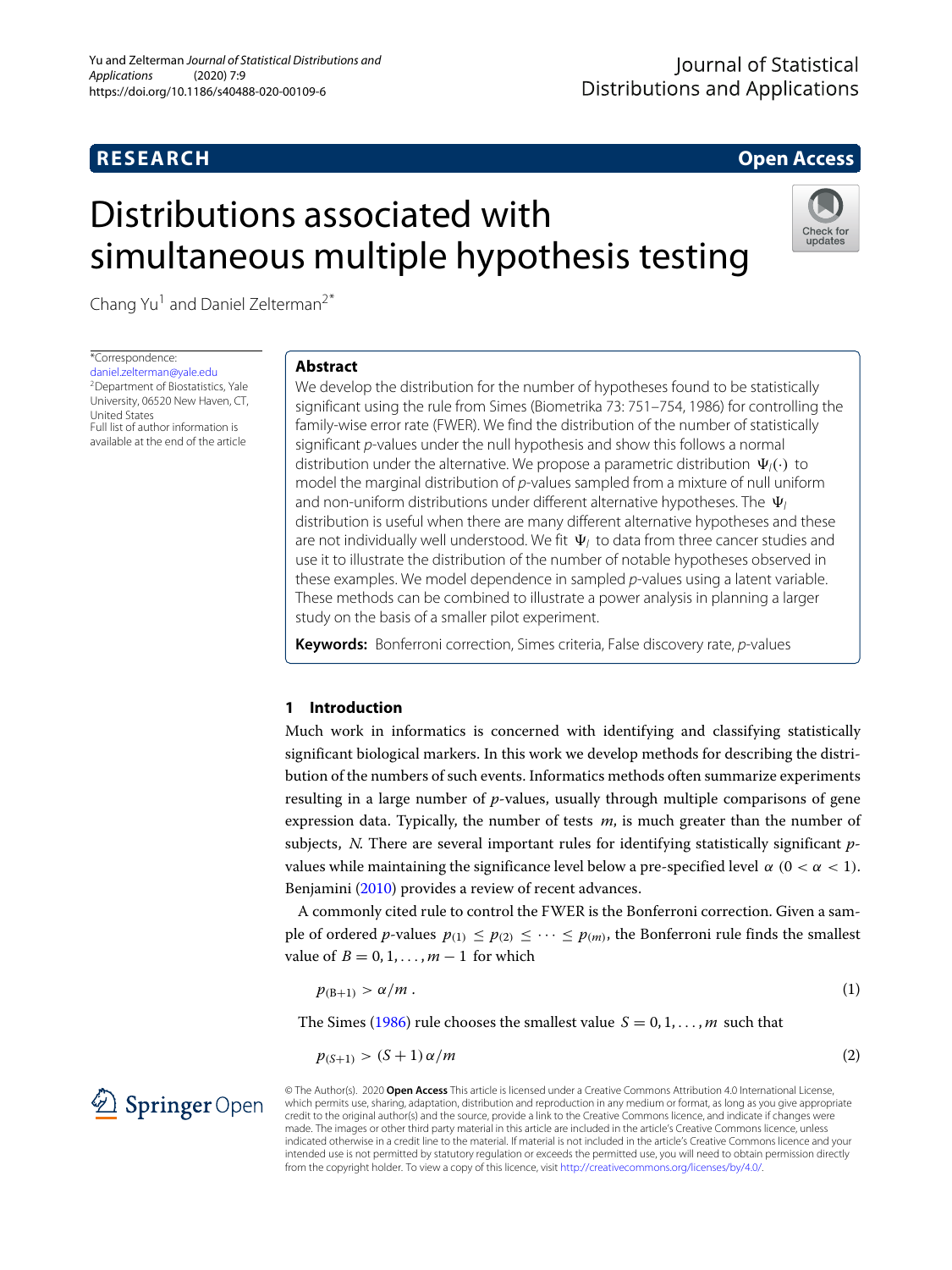# **RESEARCH Open Access**

# Distributions associated with simultaneous multiple hypothesis testing



Chang Yu<sup>1</sup> and Daniel Zelterman<sup>2\*</sup>

\*Correspondence:

[daniel.zelterman@yale.edu](mailto: daniel.zelterman@yale.edu) 2Department of Biostatistics, Yale University, 06520 New Haven, CT, United States Full list of author information is available at the end of the article

# **Abstract**

We develop the distribution for the number of hypotheses found to be statistically significant using the rule from Simes (Biometrika 73: 751–754, 1986) for controlling the family-wise error rate (FWER). We find the distribution of the number of statistically significant p-values under the null hypothesis and show this follows a normal distribution under the alternative. We propose a parametric distribution  $\Psi_l(\cdot)$  to model the marginal distribution of p-values sampled from a mixture of null uniform and non-uniform distributions under different alternative hypotheses. The  $\, \Psi_{\! \prime} \,$ distribution is useful when there are many different alternative hypotheses and these are not individually well understood. We fit  $\, \Psi_{\! l} \,$  to data from three cancer studies and use it to illustrate the distribution of the number of notable hypotheses observed in these examples. We model dependence in sampled p-values using a latent variable. These methods can be combined to illustrate a power analysis in planning a larger study on the basis of a smaller pilot experiment.

**Keywords:** Bonferroni correction, Simes criteria, False discovery rate, p-values

# **1 Introduction**

Much work in informatics is concerned with identifying and classifying statistically significant biological markers. In this work we develop methods for describing the distribution of the numbers of such events. Informatics methods often summarize experiments resulting in a large number of *p*-values, usually through multiple comparisons of gene expression data. Typically, the number of tests *m*, is much greater than the number of subjects, *N*. There are several important rules for identifying statistically significant *p*values while maintaining the significance level below a pre-specified level  $\alpha$  ( $0 < \alpha < 1$ ). Benjamini [\(2010\)](#page-15-0) provides a review of recent advances.

A commonly cited rule to control the FWER is the Bonferroni correction. Given a sample of ordered *p*-values  $p_{(1)} \leq p_{(2)} \leq \cdots \leq p_{(m)}$ , the Bonferroni rule finds the smallest value of  $B = 0, 1, \ldots, m - 1$  for which

<span id="page-0-1"></span>
$$
p_{(B+1)} > \alpha/m \tag{1}
$$

The Simes [\(1986\)](#page-15-1) rule chooses the smallest value  $S = 0, 1, \ldots, m$  such that

<span id="page-0-0"></span>
$$
p_{(S+1)} > (S+1)\,\alpha/m \tag{2}
$$

2 Springer Open

© The Author(s). 2020 **Open Access** This article is licensed under a Creative Commons Attribution 4.0 International License, which permits use, sharing, adaptation, distribution and reproduction in any medium or format, as long as you give appropriate credit to the original author(s) and the source, provide a link to the Creative Commons licence, and indicate if changes were made. The images or other third party material in this article are included in the article's Creative Commons licence, unless indicated otherwise in a credit line to the material. If material is not included in the article's Creative Commons licence and your intended use is not permitted by statutory regulation or exceeds the permitted use, you will need to obtain permission directly from the copyright holder. To view a copy of this licence, visit [http://creativecommons.org/licenses/by/4.0/.](http://creativecommons.org/licenses/by/4.0/)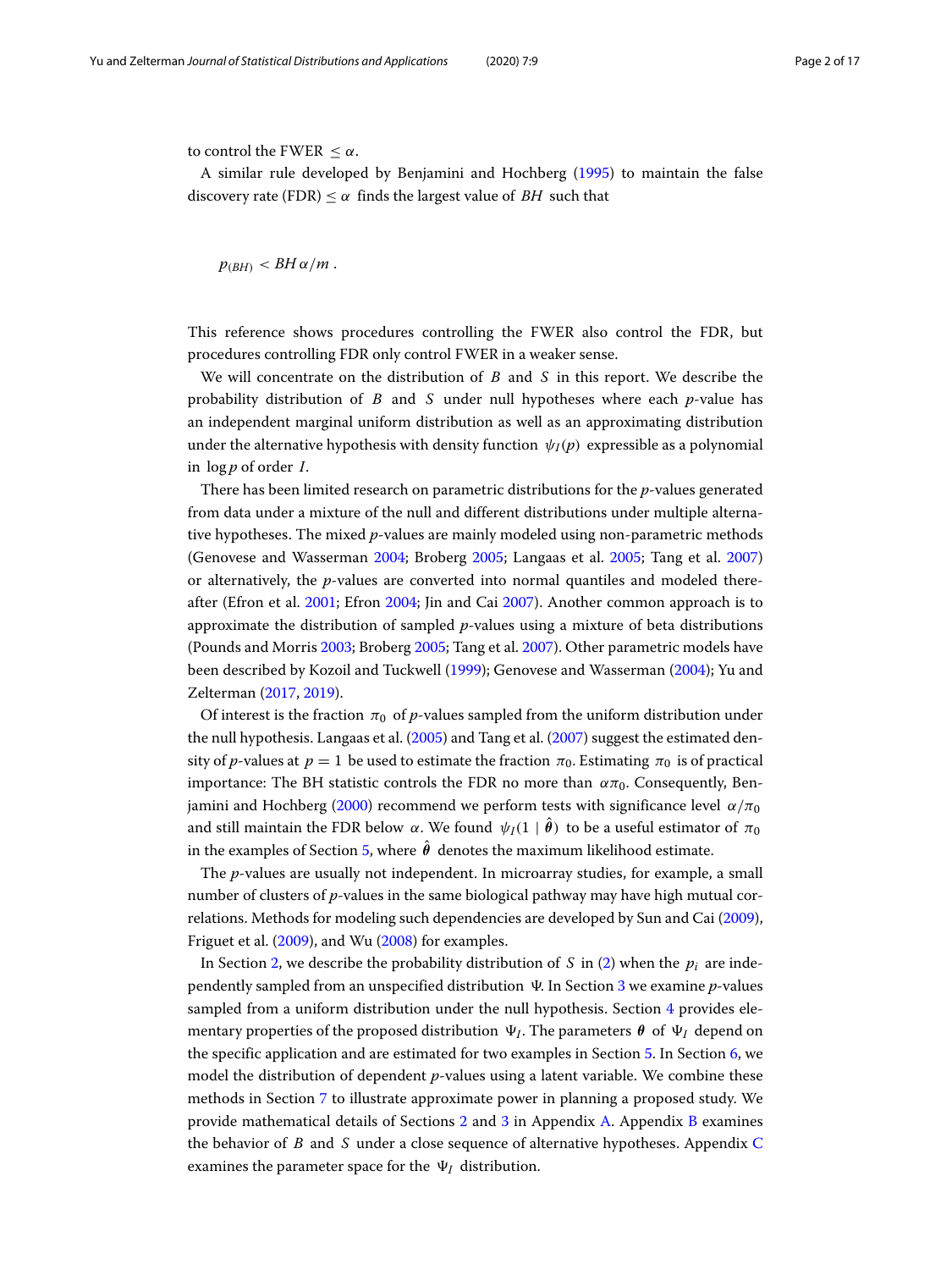to control the FWER  $\leq \alpha$ .

A similar rule developed by Benjamini and Hochberg [\(1995\)](#page-15-2) to maintain the false discovery rate (FDR)  $\leq \alpha$  finds the largest value of *BH* such that

 $p_{(RH)} < BH \alpha/m$ .

This reference shows procedures controlling the FWER also control the FDR, but procedures controlling FDR only control FWER in a weaker sense.

We will concentrate on the distribution of *B* and *S* in this report. We describe the probability distribution of *B* and *S* under null hypotheses where each *p*-value has an independent marginal uniform distribution as well as an approximating distribution under the alternative hypothesis with density function  $\psi_I(p)$  expressible as a polynomial in log *p* of order *I*.

There has been limited research on parametric distributions for the *p*-values generated from data under a mixture of the null and different distributions under multiple alternative hypotheses. The mixed *p*-values are mainly modeled using non-parametric methods (Genovese and Wasserman [2004;](#page-15-3) Broberg [2005;](#page-15-4) Langaas et al. [2005;](#page-15-5) Tang et al. [2007\)](#page-15-6) or alternatively, the *p*-values are converted into normal quantiles and modeled thereafter (Efron et al. [2001;](#page-15-7) Efron [2004;](#page-15-8) Jin and Cai [2007\)](#page-15-9). Another common approach is to approximate the distribution of sampled *p*-values using a mixture of beta distributions (Pounds and Morris [2003;](#page-15-10) Broberg [2005;](#page-15-4) Tang et al. [2007\)](#page-15-6). Other parametric models have been described by Kozoil and Tuckwell [\(1999\)](#page-15-11); Genovese and Wasserman [\(2004\)](#page-15-3); Yu and Zelterman [\(2017,](#page-16-0) [2019\)](#page-16-1).

Of interest is the fraction  $\pi_0$  of *p*-values sampled from the uniform distribution under the null hypothesis. Langaas et al. [\(2005\)](#page-15-5) and Tang et al. [\(2007\)](#page-15-6) suggest the estimated density of *p*-values at  $p = 1$  be used to estimate the fraction  $\pi_0$ . Estimating  $\pi_0$  is of practical importance: The BH statistic controls the FDR no more than  $\alpha\pi_0$ . Consequently, Ben-jamini and Hochberg [\(2000\)](#page-15-12) recommend we perform tests with significance level  $\alpha/\pi_0$ and still maintain the FDR below  $\alpha$ . We found  $\,\psi_I(1 \mid \bm{\theta})\,$  to be a useful estimator of  $\pi_0$ in the examples of Section [5,](#page-5-0) where  $\boldsymbol{\theta}$  denotes the maximum likelihood estimate.

The *p*-values are usually not independent. In microarray studies, for example, a small number of clusters of *p*-values in the same biological pathway may have high mutual correlations. Methods for modeling such dependencies are developed by Sun and Cai [\(2009\)](#page-15-13), Friguet et al. [\(2009\)](#page-15-14), and Wu [\(2008\)](#page-16-2) for examples.

In Section [2,](#page-2-0) we describe the probability distribution of *S* in [\(2\)](#page-0-0) when the  $p_i$  are inde-pendently sampled from an unspecified distribution V. In Section [3](#page-3-0) we examine p-values sampled from a uniform distribution under the null hypothesis. Section [4](#page-3-1) provides elementary properties of the proposed distribution  $\Psi_I.$  The parameters  $\pmb{\theta}$  of  $\Psi_I$  depend on the specific application and are estimated for two examples in Section [5.](#page-5-0) In Section [6,](#page-7-0) we model the distribution of dependent *p*-values using a latent variable. We combine these methods in Section [7](#page-10-0) to illustrate approximate power in planning a proposed study. We provide mathematical details of Sections [2](#page-2-0) and [3](#page-3-0) in Appendix [A.](#page-12-0) Appendix [B](#page-13-0) examines the behavior of *B* and *S* under a close sequence of alternative hypotheses. Appendix [C](#page-13-1) examines the parameter space for the  $\Psi_I$  distribution.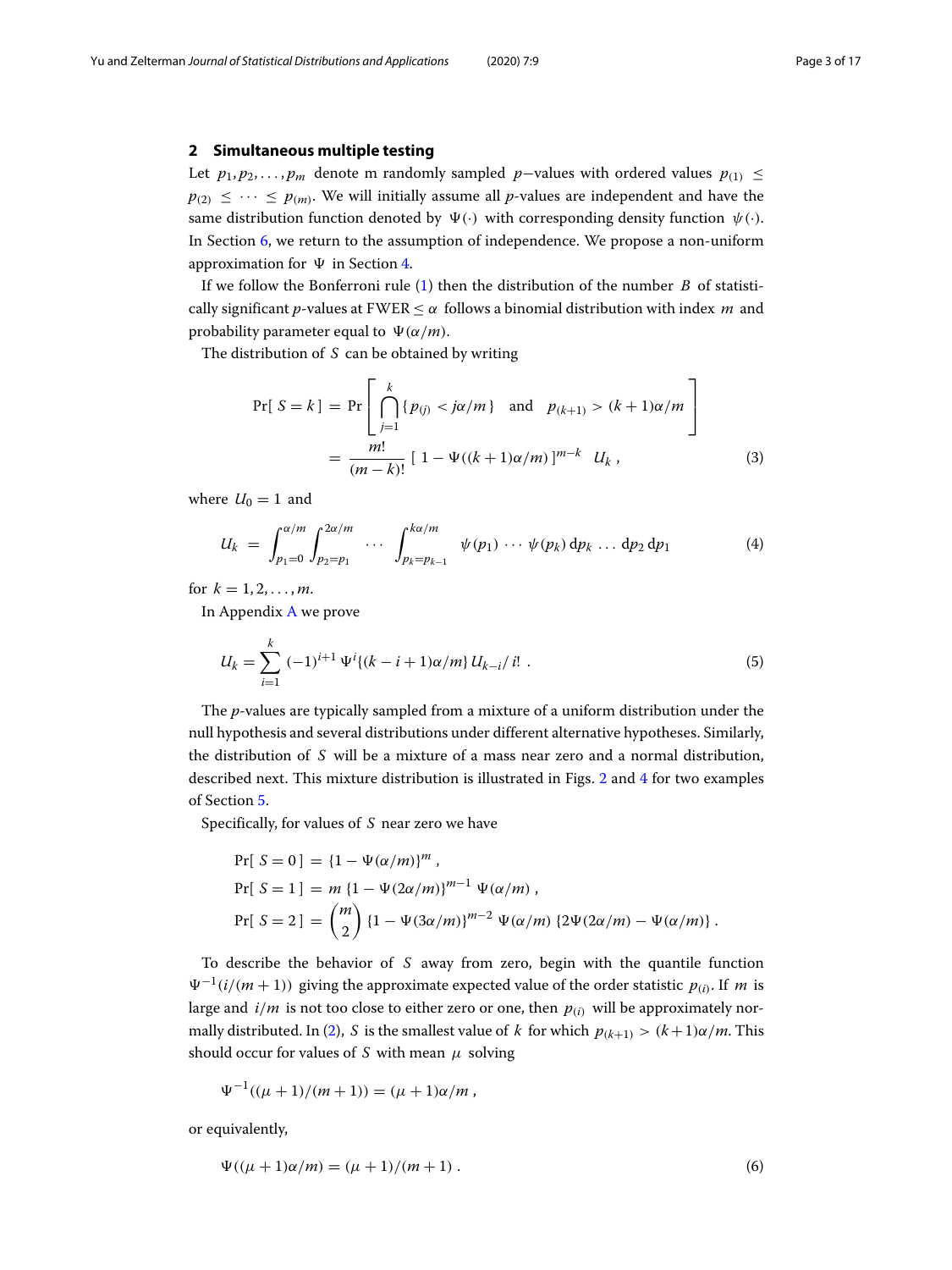#### <span id="page-2-0"></span>**2 Simultaneous multiple testing**

Let  $p_1, p_2, \ldots, p_m$  denote m randomly sampled  $p$ −values with ordered values  $p_{(1)}$  ≤  $p_{(2)} \leq \cdots \leq p_{(m)}$ . We will initially assume all *p*-values are independent and have the same distribution function denoted by  $\Psi(\cdot)$  with corresponding density function  $\psi(\cdot)$ . In Section [6,](#page-7-0) we return to the assumption of independence. We propose a non-uniform approximation for  $\Psi$  in Section [4.](#page-3-1)

If we follow the Bonferroni rule [\(1\)](#page-0-1) then the distribution of the number *B* of statistically significant *p*-values at FWER  $\lt \alpha$  follows a binomial distribution with index *m* and probability parameter equal to  $\Psi(\alpha/m)$ .

The distribution of *S* can be obtained by writing

<span id="page-2-2"></span>
$$
\Pr[S = k] = \Pr\left[\bigcap_{j=1}^{k} \{p_{(j)} < j\alpha/m\} \text{ and } p_{(k+1)} > (k+1)\alpha/m\right] \\
= \frac{m!}{(m-k)!} \left[1 - \Psi((k+1)\alpha/m)\right]^{m-k} U_k,\n\tag{3}
$$

where  $U_0 = 1$  and

<span id="page-2-4"></span>
$$
U_k = \int_{p_1=0}^{\alpha/m} \int_{p_2=p_1}^{2\alpha/m} \cdots \int_{p_k=p_{k-1}}^{k\alpha/m} \psi(p_1) \cdots \psi(p_k) dp_k \ldots dp_2 dp_1 \qquad (4)
$$

for  $k = 1, 2, ..., m$ .

In Appendix [A](#page-12-0) we prove

<span id="page-2-3"></span>
$$
U_k = \sum_{i=1}^k (-1)^{i+1} \Psi^i \{ (k-i+1)\alpha/m \} \, U_{k-i}/i! \; . \tag{5}
$$

The *p*-values are typically sampled from a mixture of a uniform distribution under the null hypothesis and several distributions under different alternative hypotheses. Similarly, the distribution of *S* will be a mixture of a mass near zero and a normal distribution, described next. This mixture distribution is illustrated in Figs. [2](#page-7-1) and [4](#page-9-0) for two examples of Section [5.](#page-5-0)

Specifically, for values of *S* near zero we have

$$
Pr[S = 0] = {1 - \Psi(\alpha/m)}^m,
$$
  
\n
$$
Pr[S = 1] = m {1 - \Psi(2\alpha/m)}^{m-1} \Psi(\alpha/m),
$$
  
\n
$$
Pr[S = 2] = {m \choose 2} {1 - \Psi(3\alpha/m)}^{m-2} \Psi(\alpha/m) {2\Psi(2\alpha/m) - \Psi(\alpha/m)}.
$$

To describe the behavior of *S* away from zero, begin with the quantile function  $\Psi^{-1}(i/(m+1))$  giving the approximate expected value of the order statistic  $p_{(i)}$ . If *m* is large and  $i/m$  is not too close to either zero or one, then  $p_{(i)}$  will be approximately nor-mally distributed. In [\(2\)](#page-0-0), *S* is the smallest value of *k* for which  $p_{(k+1)} > (k+1)\alpha/m$ . This should occur for values of *S* with mean  $\mu$  solving

$$
\Psi^{-1}((\mu+1)/(m+1)) = (\mu+1)\alpha/m ,
$$

or equivalently,

<span id="page-2-1"></span>
$$
\Psi((\mu + 1)\alpha/m) = (\mu + 1)/(m + 1) \,. \tag{6}
$$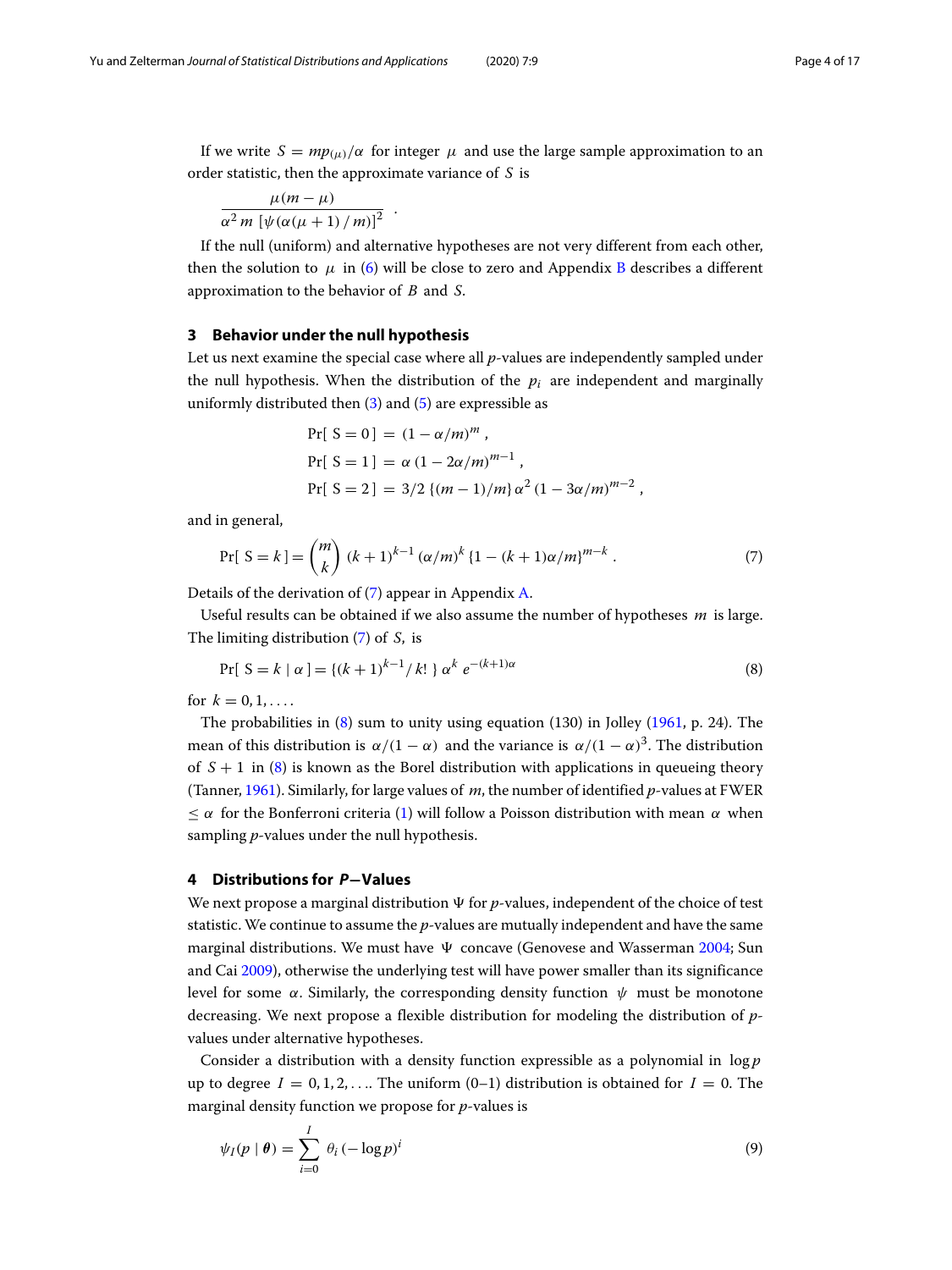If we write  $S = mp_{(\mu)}/\alpha$  for integer  $\mu$  and use the large sample approximation to an order statistic, then the approximate variance of *S* is

$$
\frac{\mu(m-\mu)}{\alpha^2 m \left[\psi(\alpha(\mu+1)/m)\right]^2}.
$$

If the null (uniform) and alternative hypotheses are not very different from each other, then the solution to  $\mu$  in [\(6\)](#page-2-1) will be close to zero and Appendix [B](#page-13-0) describes a different approximation to the behavior of *B* and *S*.

#### <span id="page-3-0"></span>**3 Behavior under the null hypothesis**

Let us next examine the special case where all *p*-values are independently sampled under the null hypothesis. When the distribution of the  $p_i$  are independent and marginally uniformly distributed then [\(3\)](#page-2-2) and [\(5\)](#page-2-3) are expressible as

$$
Pr[ S = 0 ] = (1 - \alpha/m)^m ,
$$
  
\n
$$
Pr[ S = 1 ] = \alpha (1 - 2\alpha/m)^{m-1} ,
$$
  
\n
$$
Pr[ S = 2 ] = 3/2 \{ (m - 1)/m \} \alpha^2 (1 - 3\alpha/m)^{m-2} ,
$$

and in general,

<span id="page-3-2"></span>
$$
\Pr[\ S = k] = \binom{m}{k} (k+1)^{k-1} (\alpha/m)^k \left\{1 - (k+1)\alpha/m\right\}^{m-k} . \tag{7}
$$

Details of the derivation of [\(7\)](#page-3-2) appear in Appendix [A.](#page-12-0)

Useful results can be obtained if we also assume the number of hypotheses *m* is large. The limiting distribution [\(7\)](#page-3-2) of *S*, is

<span id="page-3-3"></span>
$$
Pr[ S = k | \alpha ] = \{ (k+1)^{k-1} / k! \} \alpha^{k} e^{-(k+1)\alpha}
$$
\n(8)

for  $k = 0, 1, \ldots$ 

The probabilities in  $(8)$  sum to unity using equation  $(130)$  in Jolley  $(1961, p. 24)$  $(1961, p. 24)$ . The mean of this distribution is  $\alpha/(1-\alpha)$  and the variance is  $\alpha/(1-\alpha)^3$ . The distribution of  $S + 1$  in [\(8\)](#page-3-3) is known as the Borel distribution with applications in queueing theory (Tanner, [1961\)](#page-15-16). Similarly, for large values of *m*, the number of identified *p*-values at FWER  $\langle \alpha \rangle$  for the Bonferroni criteria [\(1\)](#page-0-1) will follow a Poisson distribution with mean  $\alpha$  when sampling *p*-values under the null hypothesis.

#### <span id="page-3-1"></span>**4 Distributions for** *P***−Values**

We next propose a marginal distribution  $\Psi$  for  $p$ -values, independent of the choice of test statistic. We continue to assume the *p*-values are mutually independent and have the same marginal distributions. We must have  $\Psi$  concave (Genovese and Wasserman [2004;](#page-15-3) Sun and Cai [2009\)](#page-15-13), otherwise the underlying test will have power smaller than its significance level for some  $\alpha$ . Similarly, the corresponding density function  $\psi$  must be monotone decreasing. We next propose a flexible distribution for modeling the distribution of *p*values under alternative hypotheses.

Consider a distribution with a density function expressible as a polynomial in log *p* up to degree  $I = 0, 1, 2, \ldots$  The uniform  $(0-1)$  distribution is obtained for  $I = 0$ . The marginal density function we propose for *p*-values is

<span id="page-3-4"></span>
$$
\psi_I(p \mid \theta) = \sum_{i=0}^I \theta_i \left( -\log p \right)^i \tag{9}
$$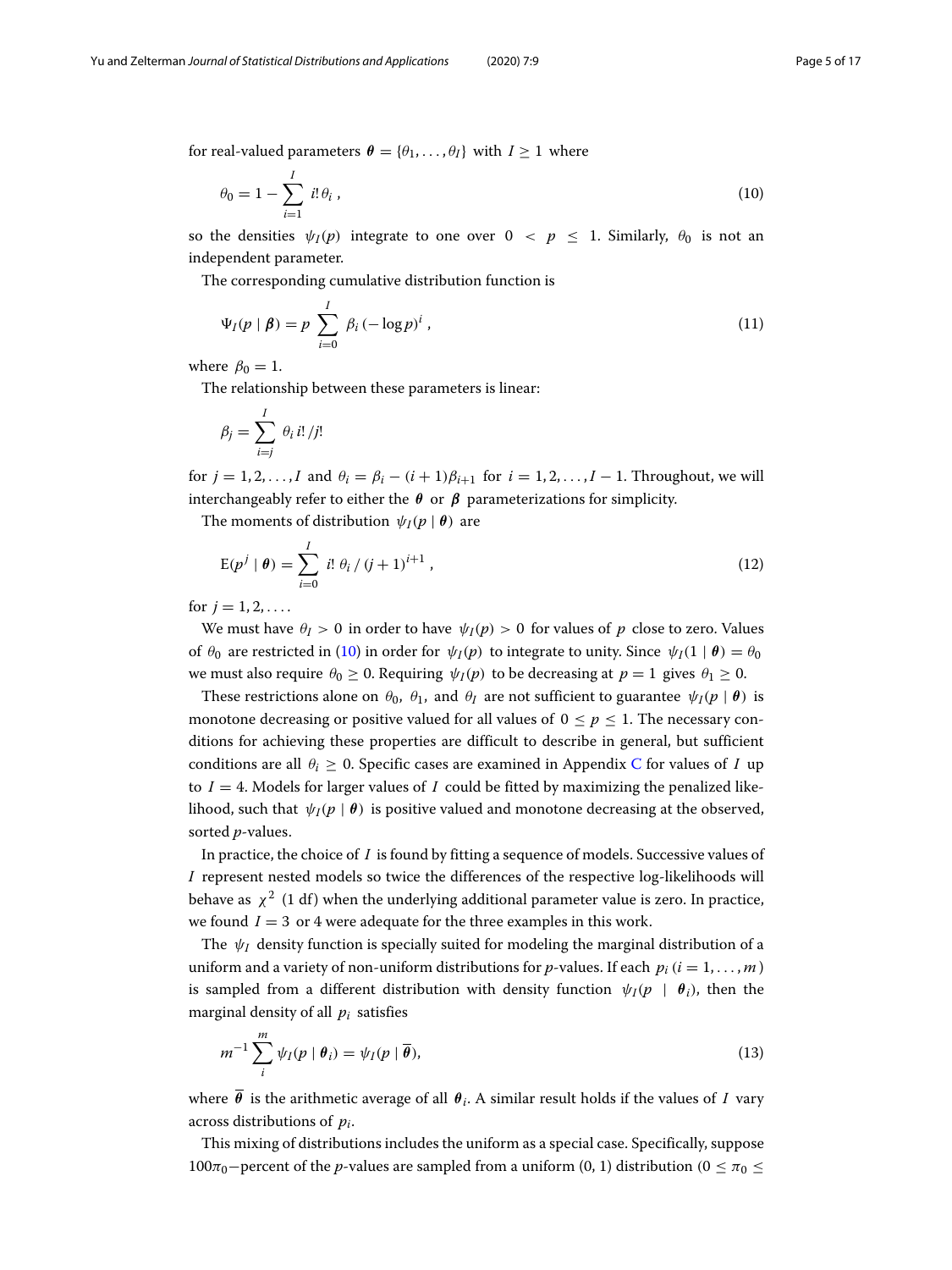for real-valued parameters  $\boldsymbol{\theta} = {\theta_1, \dots, \theta_I}$  with  $I \geq 1$  where

<span id="page-4-0"></span>
$$
\theta_0 = 1 - \sum_{i=1}^{I} i! \theta_i , \qquad (10)
$$

so the densities  $\psi_I(p)$  integrate to one over  $0 < p \le 1$ . Similarly,  $\theta_0$  is not an independent parameter.

The corresponding cumulative distribution function is

<span id="page-4-3"></span>
$$
\Psi_I(p \mid \pmb{\beta}) = p \sum_{i=0}^I \beta_i \left( -\log p \right)^i,\tag{11}
$$

where  $\beta_0 = 1$ .

The relationship between these parameters is linear:

$$
\beta_j = \sum_{i=j}^I \theta_i \, i! \, / j!
$$

for  $j = 1, 2, \ldots, I$  and  $\theta_i = \beta_i - (i + 1)\beta_{i+1}$  for  $i = 1, 2, \ldots, I-1$ . Throughout, we will interchangeably refer to either the  $\theta$  or  $\beta$  parameterizations for simplicity.

The moments of distribution  $\psi_I(p | \theta)$  are

<span id="page-4-2"></span>
$$
E(p^j | \theta) = \sum_{i=0}^{I} i! \theta_i / (j+1)^{i+1}, \qquad (12)
$$

for  $j = 1, 2, \ldots$ .

We must have  $\theta$ *I* > 0 in order to have  $\psi$ *I*(*p*) > 0 for values of *p* close to zero. Values of  $\theta_0$  are restricted in [\(10\)](#page-4-0) in order for  $\psi_I(p)$  to integrate to unity. Since  $\psi_I(1 | \theta) = \theta_0$ we must also require  $\theta_0 \ge 0$ . Requiring  $\psi_I(p)$  to be decreasing at  $p = 1$  gives  $\theta_1 \ge 0$ .

These restrictions alone on  $\theta_0$ ,  $\theta_1$ , and  $\theta_I$  are not sufficient to guarantee  $\psi_I(p \mid \theta)$  is monotone decreasing or positive valued for all values of  $0 \le p \le 1$ . The necessary conditions for achieving these properties are difficult to describe in general, but sufficient conditions are all  $\theta_i > 0$ . Specific cases are examined in Appendix [C](#page-13-1) for values of *I* up to  $I = 4$ . Models for larger values of *I* could be fitted by maximizing the penalized likelihood, such that  $\psi_I(p \mid \theta)$  is positive valued and monotone decreasing at the observed, sorted *p*-values.

In practice, the choice of *I* is found by fitting a sequence of models. Successive values of *I* represent nested models so twice the differences of the respective log-likelihoods will behave as  $\chi^2$  (1 df) when the underlying additional parameter value is zero. In practice, we found  $I = 3$  or 4 were adequate for the three examples in this work.

The  $\psi$ <sub>*I*</sub> density function is specially suited for modeling the marginal distribution of a uniform and a variety of non-uniform distributions for *p*-values. If each  $p_i$  ( $i = 1, \ldots, m$ ) is sampled from a different distribution with density function  $\psi_I(p \mid \theta_i)$ , then the marginal density of all *pi* satisfies

<span id="page-4-1"></span>
$$
m^{-1} \sum_{i}^{m} \psi_{I}(p \mid \boldsymbol{\theta}_{i}) = \psi_{I}(p \mid \overline{\boldsymbol{\theta}}), \qquad (13)
$$

where  $\bar{\theta}$  is the arithmetic average of all  $\theta_i$ . A similar result holds if the values of *I* vary across distributions of *pi*.

This mixing of distributions includes the uniform as a special case. Specifically, suppose 100π<sub>0</sub>−percent of the *p*-values are sampled from a uniform (0, 1) distribution (0 ≤ π<sub>0</sub> ≤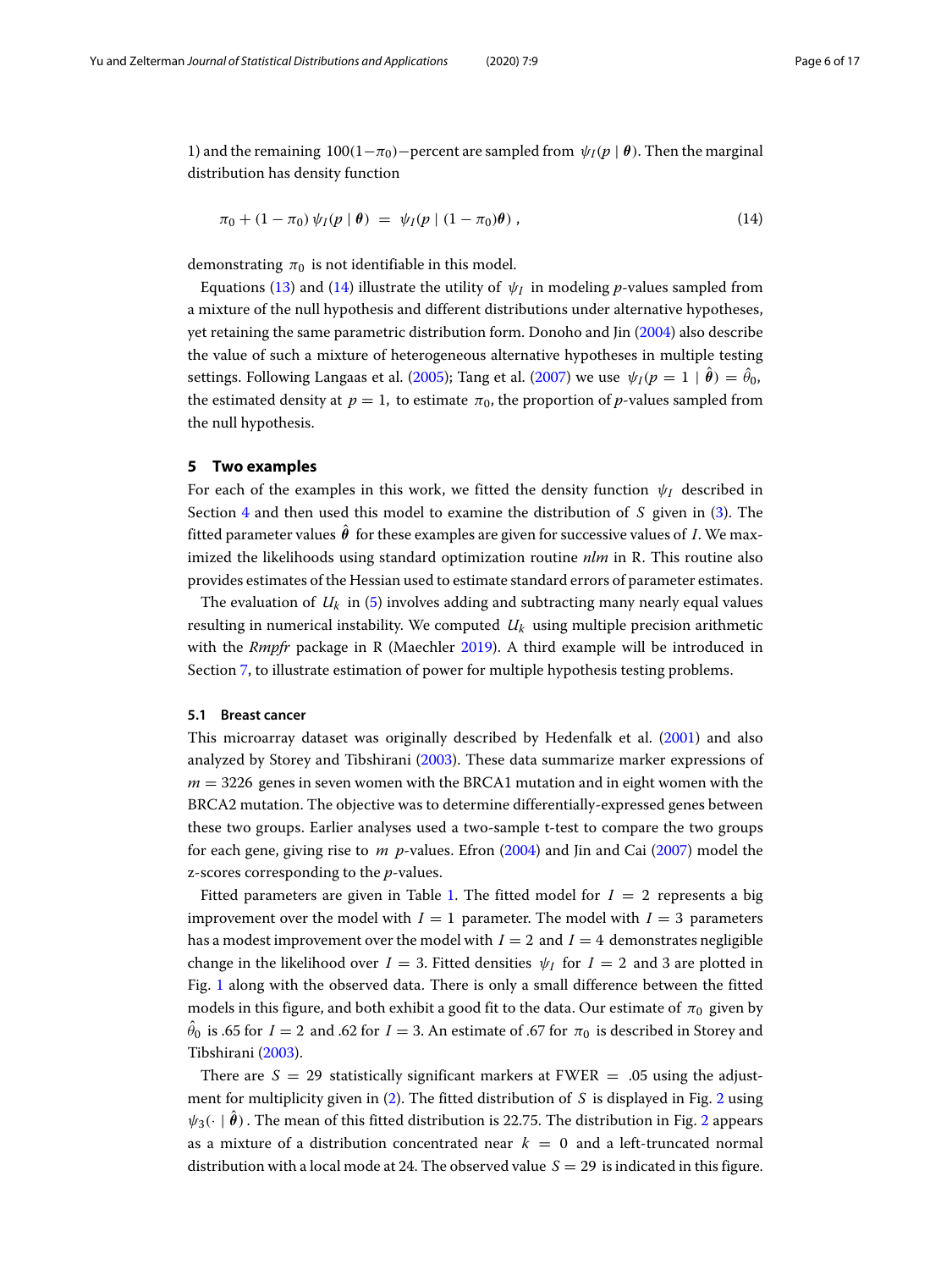1) and the remaining  $100(1-\pi_0)$ −percent are sampled from  $\psi_I(p \mid \theta)$ . Then the marginal distribution has density function

<span id="page-5-1"></span>
$$
\pi_0 + (1 - \pi_0) \psi_I(p \mid \pmb{\theta}) = \psi_I(p \mid (1 - \pi_0) \pmb{\theta}), \qquad (14)
$$

demonstrating  $\pi_0$  is not identifiable in this model.

Equations [\(13\)](#page-4-1) and [\(14\)](#page-5-1) illustrate the utility of  $\psi_I$  in modeling *p*-values sampled from a mixture of the null hypothesis and different distributions under alternative hypotheses, yet retaining the same parametric distribution form. Donoho and Jin [\(2004\)](#page-15-17) also describe the value of such a mixture of heterogeneous alternative hypotheses in multiple testing settings. Following Langaas et al. [\(2005\)](#page-15-5); Tang et al. [\(2007\)](#page-15-6) we use  $\psi_I(p=1 \mid \theta) = \hat{\theta}_0$ , the estimated density at  $p = 1$ , to estimate  $\pi_0$ , the proportion of *p*-values sampled from the null hypothesis.

#### <span id="page-5-0"></span>**5 Two examples**

For each of the examples in this work, we fitted the density function  $\psi_I$  described in Section [4](#page-3-1) and then used this model to examine the distribution of *S* given in [\(3\)](#page-2-2). The fitted parameter values  $\boldsymbol{\theta}$  for these examples are given for successive values of *I*. We maximized the likelihoods using standard optimization routine *nlm* in R. This routine also provides estimates of the Hessian used to estimate standard errors of parameter estimates.

The evaluation of  $U_k$  in [\(5\)](#page-2-3) involves adding and subtracting many nearly equal values resulting in numerical instability. We computed *Uk* using multiple precision arithmetic with the *Rmpfr* package in R (Maechler [2019\)](#page-15-18). A third example will be introduced in Section [7,](#page-10-0) to illustrate estimation of power for multiple hypothesis testing problems.

#### <span id="page-5-2"></span>**5.1 Breast cancer**

This microarray dataset was originally described by Hedenfalk et al. [\(2001\)](#page-15-19) and also analyzed by Storey and Tibshirani [\(2003\)](#page-15-20). These data summarize marker expressions of *m* = 3226 genes in seven women with the BRCA1 mutation and in eight women with the BRCA2 mutation. The objective was to determine differentially-expressed genes between these two groups. Earlier analyses used a two-sample t-test to compare the two groups for each gene, giving rise to *m p*-values. Efron [\(2004\)](#page-15-8) and Jin and Cai [\(2007\)](#page-15-9) model the z-scores corresponding to the *p*-values.

Fitted parameters are given in Table [1.](#page-6-0) The fitted model for  $I = 2$  represents a big improvement over the model with  $I = 1$  parameter. The model with  $I = 3$  parameters has a modest improvement over the model with  $I = 2$  and  $I = 4$  demonstrates negligible change in the likelihood over  $I = 3$ . Fitted densities  $\psi_I$  for  $I = 2$  and 3 are plotted in Fig. [1](#page-6-1) along with the observed data. There is only a small difference between the fitted models in this figure, and both exhibit a good fit to the data. Our estimate of  $\pi_0$  given by  $\theta_0$  is .65 for *I* = 2 and .62 for *I* = 3. An estimate of .67 for  $\pi_0$  is described in Storey and Tibshirani [\(2003\)](#page-15-20).

There are  $S = 29$  statistically significant markers at FWER = .05 using the adjustment for multiplicity given in [\(2\)](#page-0-0). The fitted distribution of *S* is displayed in Fig. [2](#page-7-1) using  $\psi_3(\cdot \mid \boldsymbol{\theta})$  . The mean of this fitted distribution is [2](#page-7-1)2.75. The distribution in Fig. 2 appears as a mixture of a distribution concentrated near  $k = 0$  and a left-truncated normal distribution with a local mode at 24. The observed value *S* = 29 is indicated in this figure.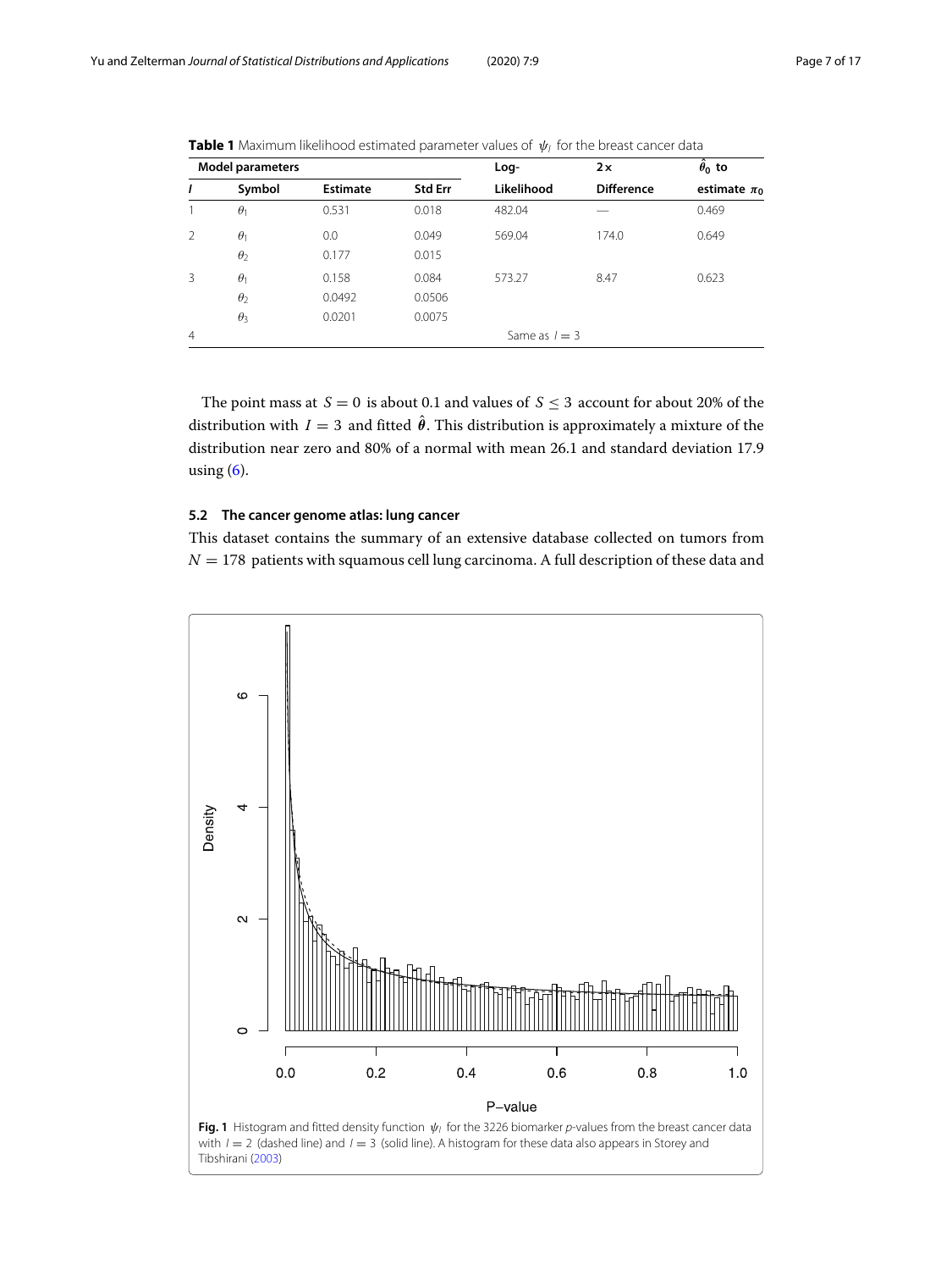| <b>Model parameters</b> |            |                 | Log-           | 2x              | $\ddot{\theta}_0$ to |                  |  |
|-------------------------|------------|-----------------|----------------|-----------------|----------------------|------------------|--|
| 1                       | Symbol     | <b>Estimate</b> | <b>Std Err</b> | Likelihood      | <b>Difference</b>    | estimate $\pi_0$ |  |
|                         | $\theta_1$ | 0.531           | 0.018          | 482.04          |                      | 0.469            |  |
| 2                       | $\theta_1$ | 0.0             | 0.049          | 569.04          | 174.0                | 0.649            |  |
|                         | $\theta$   | 0.177           | 0.015          |                 |                      |                  |  |
| 3                       | $\theta_1$ | 0.158           | 0.084          | 573.27          | 8.47                 | 0.623            |  |
|                         | $\theta$   | 0.0492          | 0.0506         |                 |                      |                  |  |
|                         | $\theta_3$ | 0.0201          | 0.0075         |                 |                      |                  |  |
| $\overline{4}$          |            |                 |                | Same as $l = 3$ |                      |                  |  |

<span id="page-6-0"></span>

| Table 1 Maximum likelihood estimated parameter values of $\psi_I$ for the breast cancer data |  |  |
|----------------------------------------------------------------------------------------------|--|--|
|----------------------------------------------------------------------------------------------|--|--|

The point mass at  $S = 0$  is about 0.1 and values of  $S \le 3$  account for about 20% of the distribution with  $I = 3$  and fitted  $\theta$ . This distribution is approximately a mixture of the distribution near zero and 80% of a normal with mean 26.1 and standard deviation 17.9 using  $(6)$ .

### <span id="page-6-2"></span>**5.2 The cancer genome atlas: lung cancer**

This dataset contains the summary of an extensive database collected on tumors from  $N = 178$  patients with squamous cell lung carcinoma. A full description of these data and

<span id="page-6-1"></span>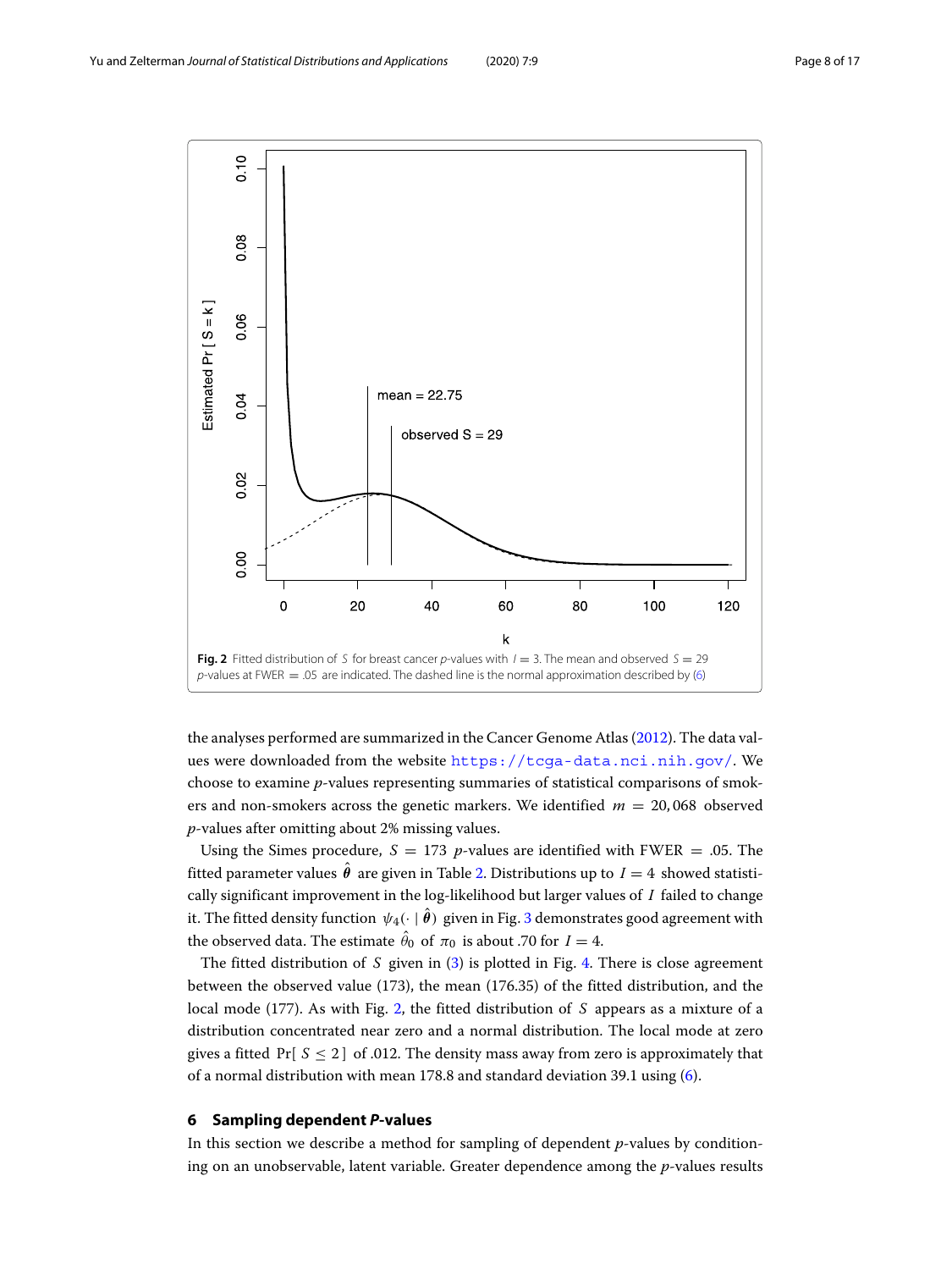

<span id="page-7-1"></span>the analyses performed are summarized in the Cancer Genome Atlas [\(2012\)](#page-15-21). The data values were downloaded from the website <https://tcga-data.nci.nih.gov/>. We choose to examine *p*-values representing summaries of statistical comparisons of smokers and non-smokers across the genetic markers. We identified *m* = 20, 068 observed *p*-values after omitting about 2% missing values.

Using the Simes procedure,  $S = 173$  *p*-values are identified with FWER = .05. The fitted parameter values  $\theta$  are given in Table [2.](#page-8-0) Distributions up to  $I=4$  showed statistically significant improvement in the log-likelihood but larger values of *I* failed to change it. The fitted density function  $\psi_4(\cdot \mid \pmb{\theta})$  given in Fig. [3](#page-8-1) demonstrates good agreement with the observed data. The estimate  $\theta_0$  of  $\pi_0$  is about .70 for  $I = 4$ .

The fitted distribution of *S* given in [\(3\)](#page-2-2) is plotted in Fig. [4.](#page-9-0) There is close agreement between the observed value (173), the mean (176.35) of the fitted distribution, and the local mode (177). As with Fig. [2,](#page-7-1) the fitted distribution of *S* appears as a mixture of a distribution concentrated near zero and a normal distribution. The local mode at zero gives a fitted  $Pr[S \le 2]$  of .012. The density mass away from zero is approximately that of a normal distribution with mean 178.8 and standard deviation 39.1 using [\(6\)](#page-2-1).

#### <span id="page-7-0"></span>**6 Sampling dependent** *P***-values**

In this section we describe a method for sampling of dependent *p*-values by conditioning on an unobservable, latent variable. Greater dependence among the *p*-values results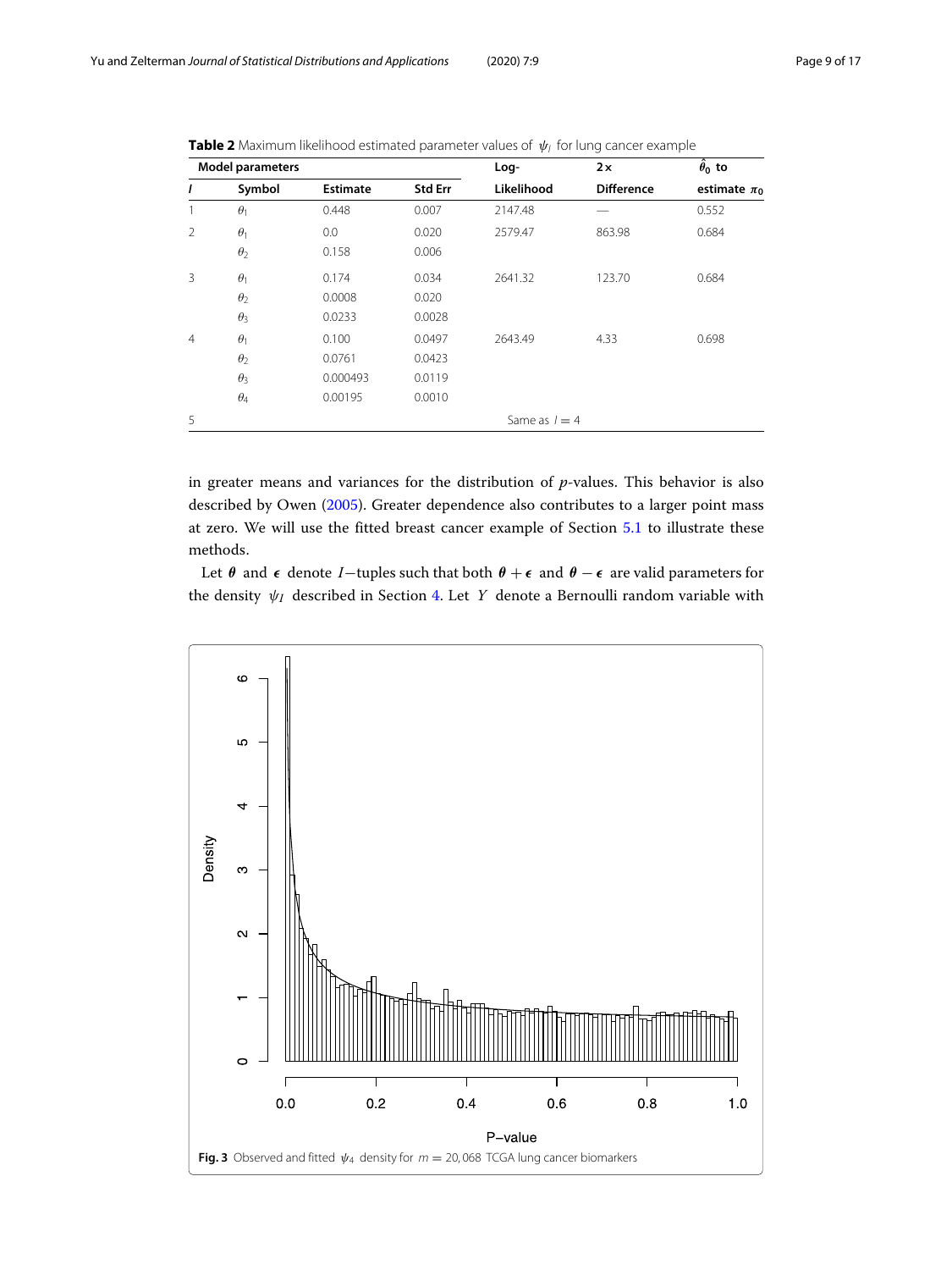| <b>Model parameters</b> |                 |                 | Log-           | 2x         | $\hat{\theta}_0$ to |                  |
|-------------------------|-----------------|-----------------|----------------|------------|---------------------|------------------|
| 1                       | Symbol          | <b>Estimate</b> | <b>Std Err</b> | Likelihood | <b>Difference</b>   | estimate $\pi_0$ |
| 1                       | $\theta_1$      | 0.448           | 0.007          | 2147.48    |                     | 0.552            |
| $\overline{2}$          | $\theta_1$      | 0.0             | 0.020          | 2579.47    | 863.98              | 0.684            |
|                         | $\theta_2$      | 0.158           | 0.006          |            |                     |                  |
| 3                       | $\theta_1$      | 0.174           | 0.034          | 2641.32    | 123.70              | 0.684            |
|                         | $\theta_2$      | 0.0008          | 0.020          |            |                     |                  |
|                         | $\theta_3$      | 0.0233          | 0.0028         |            |                     |                  |
| $\overline{4}$          | $\theta_1$      | 0.100           | 0.0497         | 2643.49    | 4.33                | 0.698            |
|                         | $\theta_2$      | 0.0761          | 0.0423         |            |                     |                  |
|                         | $\theta_3$      | 0.000493        | 0.0119         |            |                     |                  |
|                         | $\theta_4$      | 0.00195         | 0.0010         |            |                     |                  |
| 5                       | Same as $l = 4$ |                 |                |            |                     |                  |

<span id="page-8-0"></span>

| <b>Table 2</b> Maximum likelihood estimated parameter values of $\psi_1$ for lung cancer example |  |
|--------------------------------------------------------------------------------------------------|--|
|--------------------------------------------------------------------------------------------------|--|

in greater means and variances for the distribution of *p*-values. This behavior is also described by Owen [\(2005\)](#page-15-22). Greater dependence also contributes to a larger point mass at zero. We will use the fitted breast cancer example of Section [5.1](#page-5-2) to illustrate these methods.

Let  $\theta$  and  $\epsilon$  denote *I*−tuples such that both  $\theta + \epsilon$  and  $\theta - \epsilon$  are valid parameters for the density ψ*<sup>I</sup>* described in Section [4.](#page-3-1) Let *Y* denote a Bernoulli random variable with

<span id="page-8-1"></span>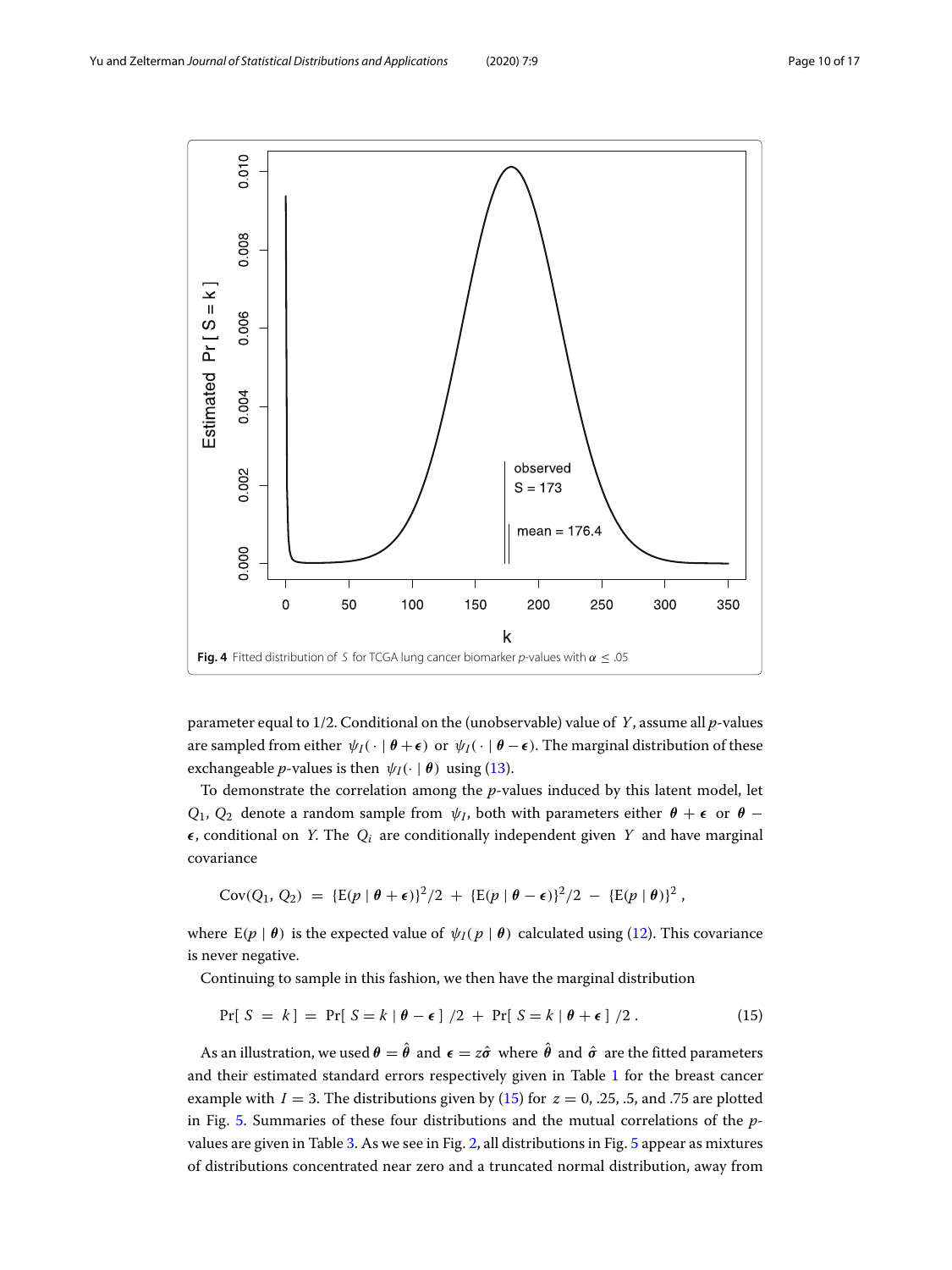

<span id="page-9-0"></span>parameter equal to 1/2. Conditional on the (unobservable) value of *Y*, assume all *p*-values are sampled from either  $\psi_I(\cdot | \theta + \epsilon)$  or  $\psi_I(\cdot | \theta - \epsilon)$ . The marginal distribution of these exchangeable *p*-values is then  $\psi_I(\cdot \mid \boldsymbol{\theta})$  using [\(13\)](#page-4-1).

To demonstrate the correlation among the *p*-values induced by this latent model, let *Q*<sub>1</sub>, *Q*<sub>2</sub> denote a random sample from  $\psi$ *I*, both with parameters either  $\theta$  +  $\epsilon$  or  $\theta$  −  $\epsilon$ , conditional on *Y*. The  $Q_i$  are conditionally independent given *Y* and have marginal covariance

$$
Cov(Q_1, Q_2) = \{E(p | \theta + \epsilon)\}^2/2 + \{E(p | \theta - \epsilon)\}^2/2 - \{E(p | \theta)\}^2,
$$

where  $E(p | \theta)$  is the expected value of  $\psi_I(p | \theta)$  calculated using [\(12\)](#page-4-2). This covariance is never negative.

Continuing to sample in this fashion, we then have the marginal distribution

<span id="page-9-1"></span>
$$
Pr[S = k] = Pr[S = k | \theta - \epsilon] / 2 + Pr[S = k | \theta + \epsilon] / 2.
$$
 (15)

As an illustration, we used  $\theta = \theta$  and  $\epsilon = z\hat{\sigma}$  where  $\theta$  and  $\hat{\sigma}$  are the fitted parameters and their estimated standard errors respectively given in Table [1](#page-6-0) for the breast cancer example with  $I = 3$ . The distributions given by [\(15\)](#page-9-1) for  $z = 0$ , .25, .5, and .75 are plotted in Fig. [5.](#page-10-1) Summaries of these four distributions and the mutual correlations of the *p*values are given in Table [3.](#page-10-2) As we see in Fig. [2,](#page-7-1) all distributions in Fig. [5](#page-10-1) appear as mixtures of distributions concentrated near zero and a truncated normal distribution, away from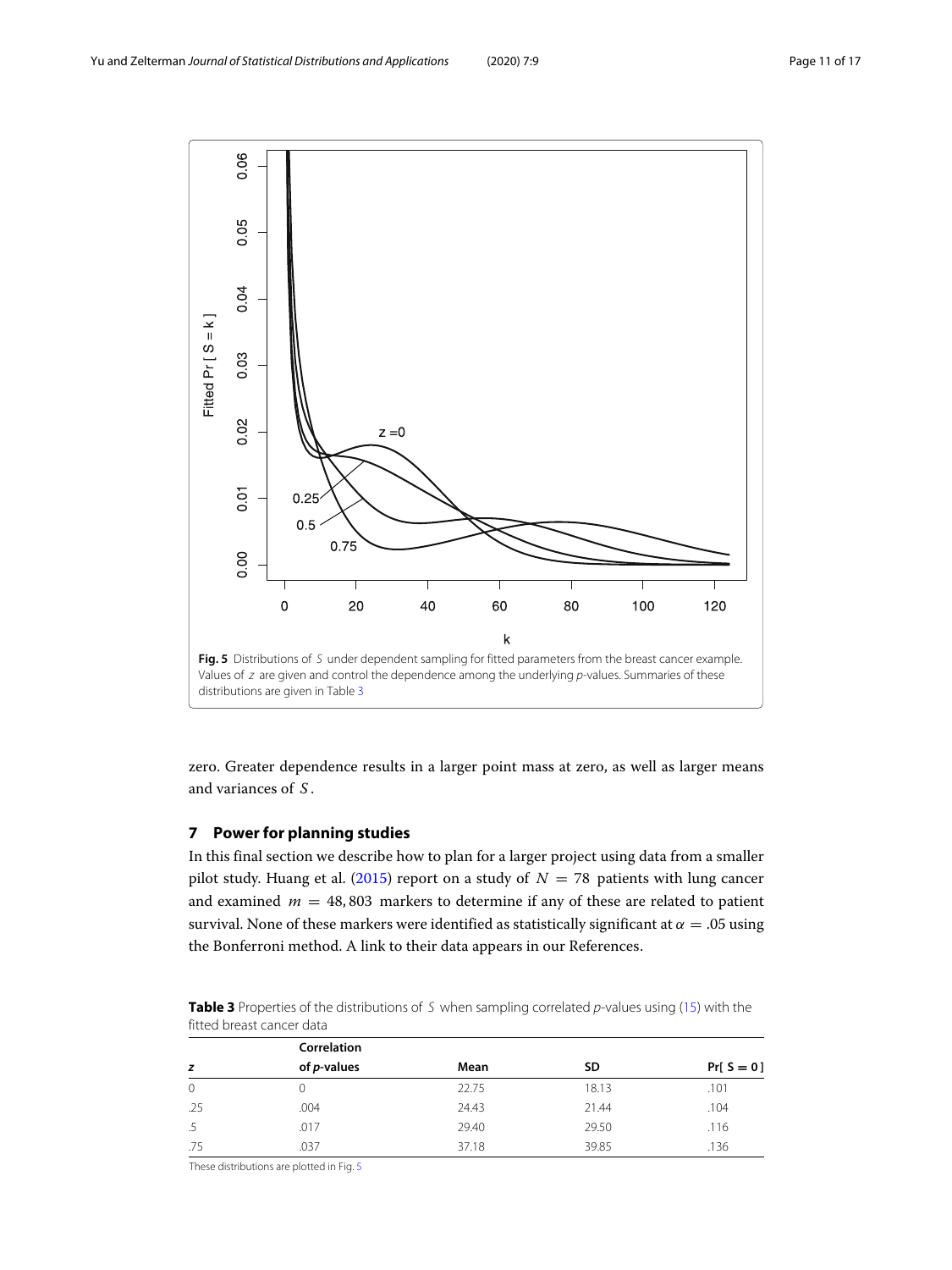

<span id="page-10-1"></span>zero. Greater dependence results in a larger point mass at zero, as well as larger means and variances of *S* .

# <span id="page-10-0"></span>**7 Power for planning studies**

In this final section we describe how to plan for a larger project using data from a smaller pilot study. Huang et al. [\(2015\)](#page-15-23) report on a study of  $N = 78$  patients with lung cancer and examined  $m = 48,803$  markers to determine if any of these are related to patient survival. None of these markers were identified as statistically significant at  $\alpha = .05$  using the Bonferroni method. A link to their data appears in our References.

<span id="page-10-2"></span>**Table 3** Properties of the distributions of S when sampling correlated p-values using [\(15\)](#page-9-1) with the fitted breast cancer data

|              | Correlation         |       |       |               |
|--------------|---------------------|-------|-------|---------------|
| z            | of <i>p</i> -values | Mean  | SD    | $Pr[ S = 0 ]$ |
| $\mathbf{0}$ |                     | 22.75 | 18.13 | .101          |
| .25          | .004                | 24.43 | 21.44 | .104          |
|              | .017                | 29.40 | 29.50 | .116          |
| .75          | .037                | 37.18 | 39.85 | .136          |

These distributions are plotted in Fig. [5](#page-10-1)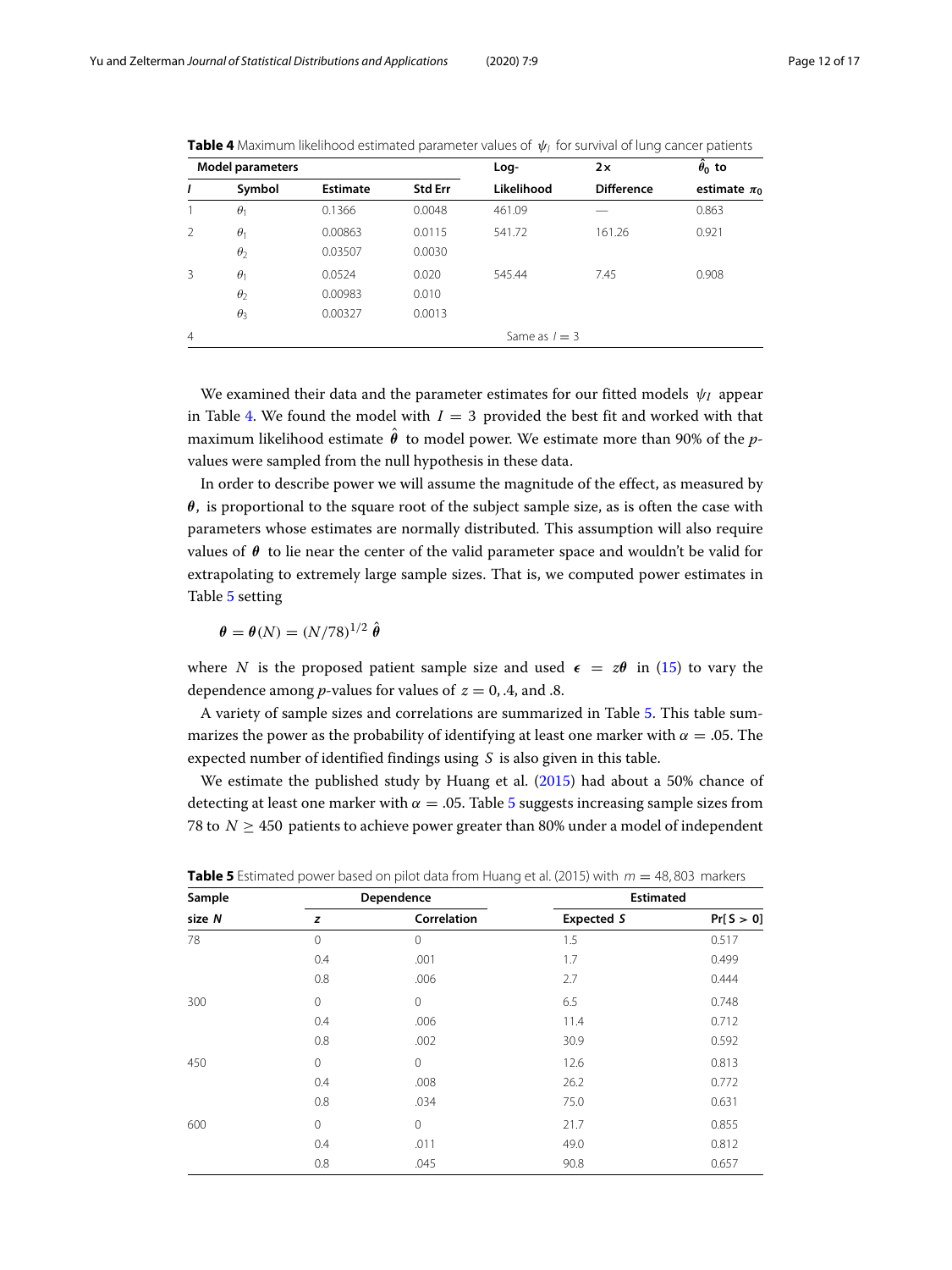| <b>Model parameters</b> |            |                 | Log-           | 2x              | $\hat{\theta}_0$ to |                  |  |
|-------------------------|------------|-----------------|----------------|-----------------|---------------------|------------------|--|
| I                       | Symbol     | <b>Estimate</b> | <b>Std Err</b> | Likelihood      | <b>Difference</b>   | estimate $\pi_0$ |  |
|                         | $\theta_1$ | 0.1366          | 0.0048         | 461.09          |                     | 0.863            |  |
| $\mathcal{P}$           | $\theta_1$ | 0.00863         | 0.0115         | 541.72          | 161.26              | 0.921            |  |
|                         | $\theta$   | 0.03507         | 0.0030         |                 |                     |                  |  |
| 3                       | $\theta_1$ | 0.0524          | 0.020          | 545.44          | 7.45                | 0.908            |  |
|                         | $\theta$   | 0.00983         | 0.010          |                 |                     |                  |  |
|                         | $\theta_3$ | 0.00327         | 0.0013         |                 |                     |                  |  |
| $\overline{4}$          |            |                 |                | Same as $l = 3$ |                     |                  |  |

<span id="page-11-0"></span>**Table 4** Maximum likelihood estimated parameter values of  $\psi_l$  for survival of lung cancer patients

We examined their data and the parameter estimates for our fitted models ψ*<sup>I</sup>* appear in Table [4.](#page-11-0) We found the model with  $I = 3$  provided the best fit and worked with that maximum likelihood estimate θ to model power. We estimate more than 90% of the *p*values were sampled from the null hypothesis in these data.

In order to describe power we will assume the magnitude of the effect, as measured by *θ*, is proportional to the square root of the subject sample size, as is often the case with parameters whose estimates are normally distributed. This assumption will also require values of  $\theta$  to lie near the center of the valid parameter space and wouldn't be valid for extrapolating to extremely large sample sizes. That is, we computed power estimates in Table [5](#page-11-1) setting

$$
\theta = \theta(N) = (N/78)^{1/2} \hat{\theta}
$$

where *N* is the proposed patient sample size and used  $\epsilon = z\theta$  in [\(15\)](#page-9-1) to vary the dependence among *p*-values for values of  $z = 0, 4$ , and .8.

A variety of sample sizes and correlations are summarized in Table [5.](#page-11-1) This table summarizes the power as the probability of identifying at least one marker with  $\alpha = .05$ . The expected number of identified findings using *S* is also given in this table.

We estimate the published study by Huang et al. [\(2015\)](#page-15-23) had about a 50% chance of detecting at least one marker with  $\alpha = 0.05$  $\alpha = 0.05$ . Table 5 suggests increasing sample sizes from 78 to  $N \geq 450$  patients to achieve power greater than 80% under a model of independent

| Sample |              | Dependence  | <b>Estimated</b>  |            |  |
|--------|--------------|-------------|-------------------|------------|--|
| size N | z            | Correlation | <b>Expected S</b> | Pr[ S > 0] |  |
| 78     | $\Omega$     | $\mathbf 0$ | 1.5               | 0.517      |  |
|        | 0.4          | .001        | 1.7               | 0.499      |  |
|        | 0.8          | .006        | 2.7               | 0.444      |  |
| 300    | $\mathbf{0}$ | 0           | 6.5               | 0.748      |  |
|        | 0.4          | .006        | 11.4              | 0.712      |  |
|        | 0.8          | .002        | 30.9              | 0.592      |  |
| 450    | 0            | $\mathbf 0$ | 12.6              | 0.813      |  |
|        | 0.4          | .008        | 26.2              | 0.772      |  |
|        | 0.8          | .034        | 75.0              | 0.631      |  |
| 600    | 0            | $\mathbf 0$ | 21.7              | 0.855      |  |
|        | 0.4          | .011        | 49.0              | 0.812      |  |
|        | 0.8          | .045        | 90.8              | 0.657      |  |

<span id="page-11-1"></span>**Table 5** Estimated power based on pilot data from Huang et al. (2015) with  $m = 48,803$  markers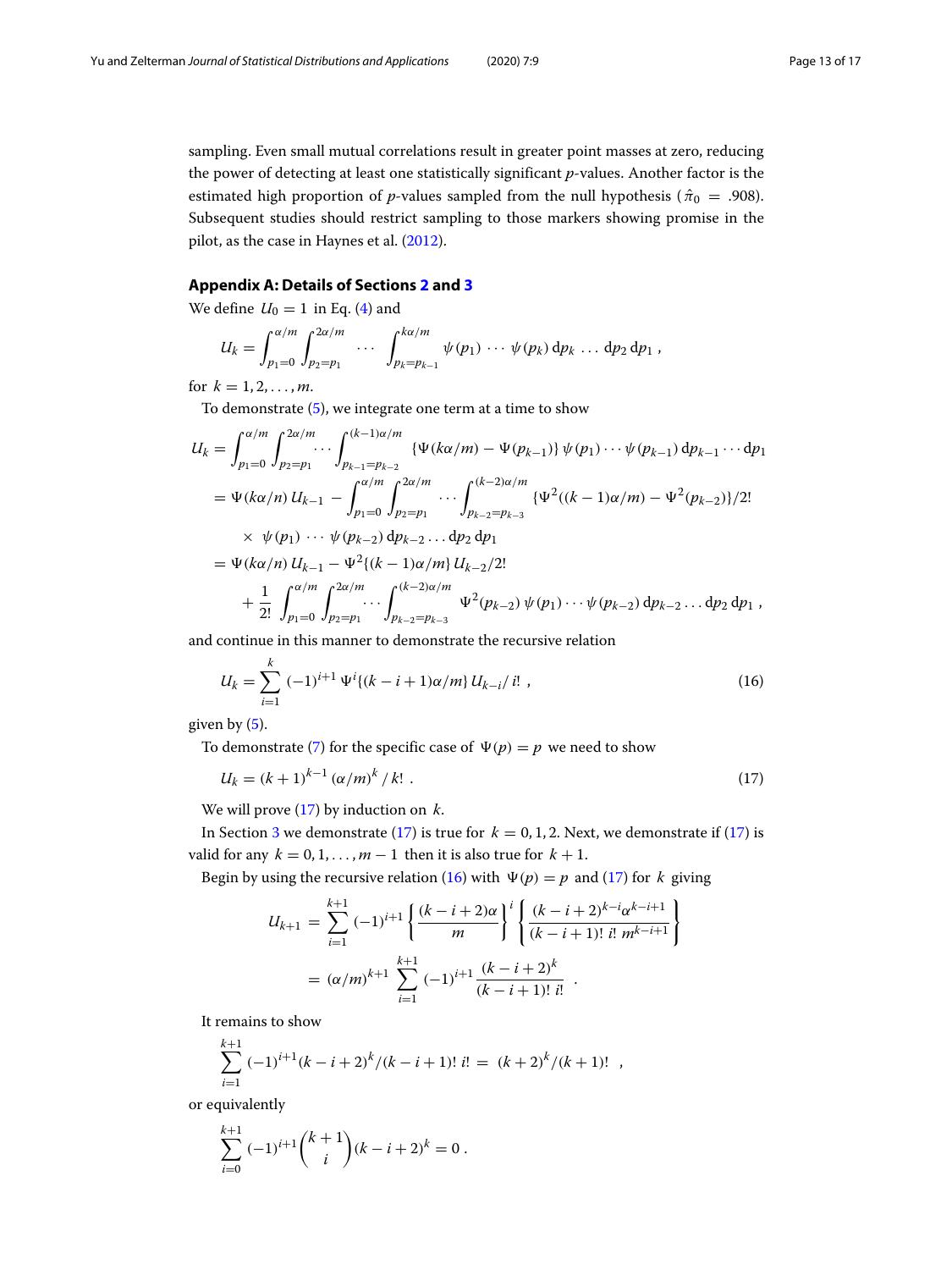sampling. Even small mutual correlations result in greater point masses at zero, reducing the power of detecting at least one statistically significant *p*-values. Another factor is the estimated high proportion of *p*-values sampled from the null hypothesis ( $\hat{\pi}_0 = .908$ ). Subsequent studies should restrict sampling to those markers showing promise in the pilot, as the case in Haynes et al. [\(2012\)](#page-15-24).

## **Appendix A: Details of Sections [2](#page-2-0) and [3](#page-3-0)**

<span id="page-12-0"></span>We define  $U_0 = 1$  in Eq. [\(4\)](#page-2-4) and

$$
U_k = \int_{p_1=0}^{\alpha/m} \int_{p_2=p_1}^{2\alpha/m} \cdots \int_{p_k=p_{k-1}}^{k\alpha/m} \psi(p_1) \cdots \psi(p_k) dp_k \cdots dp_2 dp_1,
$$

for  $k = 1, 2, ..., m$ .

To demonstrate [\(5\)](#page-2-3), we integrate one term at a time to show

$$
U_{k} = \int_{p_{1}=0}^{\alpha/m} \int_{p_{2}=p_{1}}^{2\alpha/m} \cdots \int_{p_{k-1}=p_{k-2}}^{(k-1)\alpha/m} \{ \Psi(k\alpha/m) - \Psi(p_{k-1}) \} \psi(p_{1}) \cdots \psi(p_{k-1}) dp_{k-1} \cdots dp_{1}
$$
  
\n
$$
= \Psi(k\alpha/n) U_{k-1} - \int_{p_{1}=0}^{\alpha/m} \int_{p_{2}=p_{1}}^{2\alpha/m} \cdots \int_{p_{k-2}=p_{k-3}}^{(k-2)\alpha/m} \{ \Psi^{2}((k-1)\alpha/m) - \Psi^{2}(p_{k-2}) \} / 2!
$$
  
\n
$$
\times \psi(p_{1}) \cdots \psi(p_{k-2}) dp_{k-2} \cdots dp_{2} dp_{1}
$$
  
\n
$$
= \Psi(k\alpha/n) U_{k-1} - \Psi^{2}((k-1)\alpha/m) U_{k-2}/2!
$$
  
\n
$$
+ \frac{1}{2!} \int_{p_{1}=0}^{\alpha/m} \int_{p_{2}=p_{1}}^{2\alpha/m} \cdots \int_{p_{k-2}=p_{k-3}}^{(k-2)\alpha/m} \Psi^{2}(p_{k-2}) \psi(p_{1}) \cdots \psi(p_{k-2}) dp_{k-2} \cdots dp_{2} dp_{1},
$$

and continue in this manner to demonstrate the recursive relation

<span id="page-12-2"></span>
$$
U_k = \sum_{i=1}^k (-1)^{i+1} \Psi^i \{ (k-i+1)\alpha/m \} \, U_{k-i}/i! \tag{16}
$$

given by  $(5)$ .

To demonstrate [\(7\)](#page-3-2) for the specific case of  $\Psi(p) = p$  we need to show

$$
U_k = (k+1)^{k-1} (\alpha/m)^k / k! \tag{17}
$$

We will prove [\(17\)](#page-12-1) by induction on *k*.

In Section [3](#page-3-0) we demonstrate [\(17\)](#page-12-1) is true for  $k = 0, 1, 2$ . Next, we demonstrate if (17) is valid for any  $k = 0, 1, \ldots, m - 1$  then it is also true for  $k + 1$ .

Begin by using the recursive relation [\(16\)](#page-12-2) with  $\Psi(p) = p$  and [\(17\)](#page-12-1) for *k* giving

<span id="page-12-1"></span>
$$
U_{k+1} = \sum_{i=1}^{k+1} (-1)^{i+1} \left\{ \frac{(k-i+2)\alpha}{m} \right\}^i \left\{ \frac{(k-i+2)^{k-i} \alpha^{k-i+1}}{(k-i+1)! i! m^{k-i+1}} \right\}
$$
  
=  $(\alpha/m)^{k+1} \sum_{i=1}^{k+1} (-1)^{i+1} \frac{(k-i+2)^k}{(k-i+1)! i!}$ .

It remains to show

$$
\sum_{i=1}^{k+1} (-1)^{i+1} (k-i+2)^k / (k-i+1)!
$$
 *i*! =  $(k+2)^k / (k+1)!$ 

or equivalently

$$
\sum_{i=0}^{k+1} (-1)^{i+1} {k+1 \choose i} (k-i+2)^{k} = 0.
$$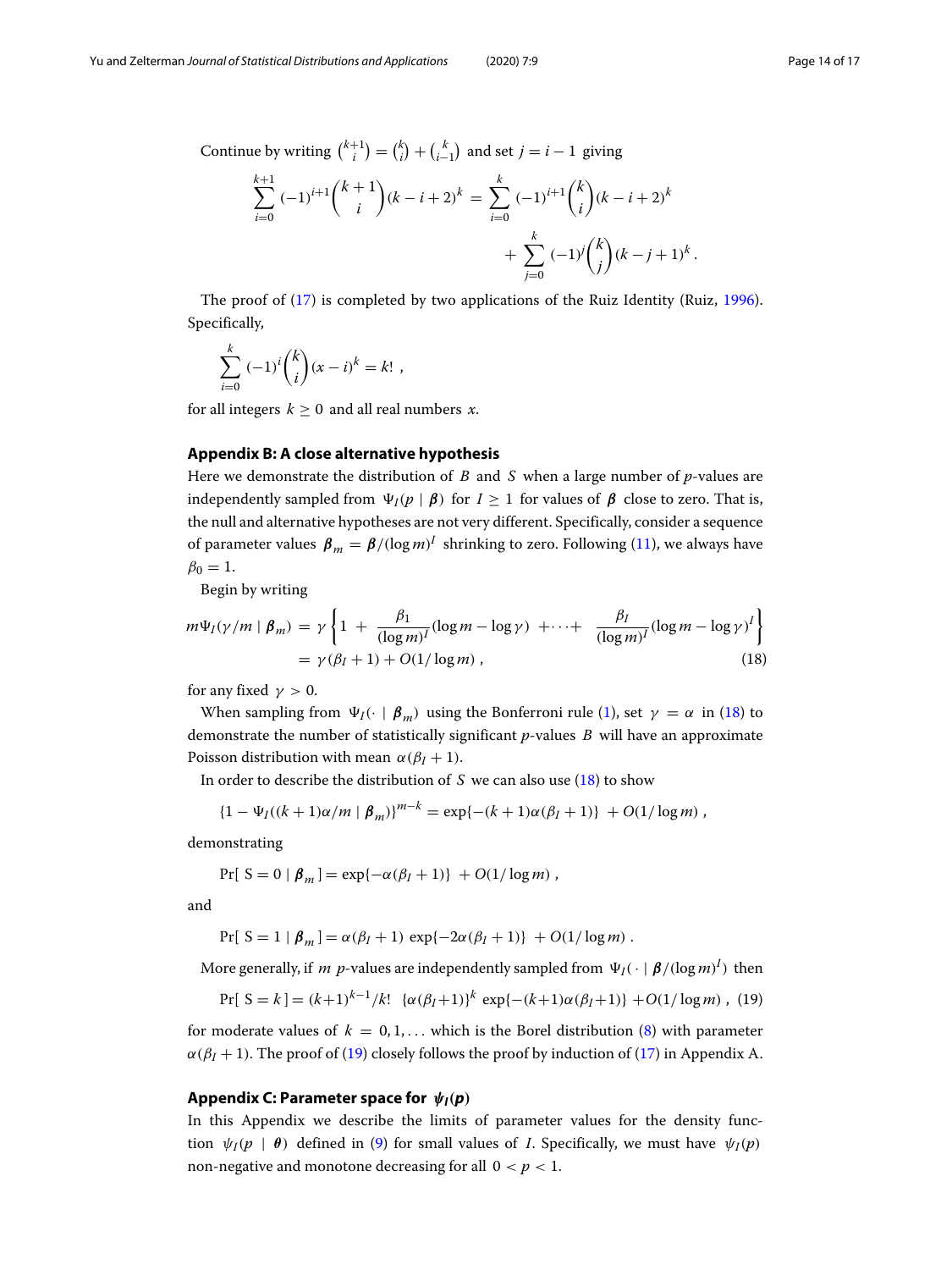$$
\sum_{i=0}^{k+1} (-1)^{i+1} {k+1 \choose i} (k-i+2)^k = \sum_{i=0}^k (-1)^{i+1} {k \choose i} (k-i+2)^k + \sum_{j=0}^k (-1)^j {k \choose j} (k-j+1)^k.
$$

The proof of [\(17\)](#page-12-1) is completed by two applications of the Ruiz Identity (Ruiz, [1996\)](#page-15-25). Specifically,

$$
\sum_{i=0}^{k} (-1)^{i} {k \choose i} (x-i)^{k} = k! ,
$$

for all integers  $k \geq 0$  and all real numbers *x*.

#### **Appendix B: A close alternative hypothesis**

<span id="page-13-0"></span>Here we demonstrate the distribution of *B* and *S* when a large number of *p*-values are independently sampled from  $\Psi_I(p \mid \boldsymbol{\beta})$  for  $I \geq 1$  for values of  $\boldsymbol{\beta}$  close to zero. That is, the null and alternative hypotheses are not very different. Specifically, consider a sequence of parameter values  $\beta_m = \beta/(\log m)^I$  shrinking to zero. Following [\(11\)](#page-4-3), we always have  $\beta_0 = 1$ .

Begin by writing

<span id="page-13-2"></span>
$$
m\Psi_I(\gamma/m \mid \beta_m) = \gamma \left\{ 1 + \frac{\beta_1}{(\log m)^I} (\log m - \log \gamma) + \dots + \frac{\beta_I}{(\log m)^I} (\log m - \log \gamma)^I \right\}
$$
  
=  $\gamma(\beta_I + 1) + O(1/\log m)$ , (18)

for any fixed  $\gamma > 0$ .

When sampling from  $\Psi_I(\cdot \mid \boldsymbol{\beta}_m)$  using the Bonferroni rule [\(1\)](#page-0-1), set  $\gamma = \alpha$  in [\(18\)](#page-13-2) to demonstrate the number of statistically significant *p*-values *B* will have an approximate Poisson distribution with mean  $\alpha(\beta_I + 1)$ .

In order to describe the distribution of *S* we can also use [\(18\)](#page-13-2) to show

$$
\{1 - \Psi_I((k+1)\alpha/m \mid \beta_m)\}^{m-k} = \exp\{-(k+1)\alpha(\beta_I + 1)\} + O(1/\log m),
$$

demonstrating

$$
Pr[ S = 0 | \beta_m] = exp{-\alpha(\beta_I + 1)} + O(1/\log m),
$$

and

<span id="page-13-3"></span>
$$
Pr[ S = 1 | \beta_m] = \alpha(\beta_I + 1) \exp\{-2\alpha(\beta_I + 1)\} + O(1/\log m).
$$

More generally, if  $m$   $p$ -values are independently sampled from  $\Psi_I(\cdot \mid \boldsymbol{\beta}/(\log m)^I)$  then

$$
Pr[ S = k ] = (k+1)^{k-1}/k! \{ \alpha(\beta_I + 1) \}^k exp\{-(k+1)\alpha(\beta_I + 1) \} + O(1/\log m), (19)
$$

for moderate values of  $k = 0, 1, \ldots$  which is the Borel distribution [\(8\)](#page-3-3) with parameter  $\alpha(\beta_I + 1)$ . The proof of [\(19\)](#page-13-3) closely follows the proof by induction of [\(17\)](#page-12-1) in Appendix A.

#### **Appendix C: Parameter space for** *ψI(p)*

<span id="page-13-1"></span>In this Appendix we describe the limits of parameter values for the density function  $\psi_I(p \mid \theta)$  defined in [\(9\)](#page-3-4) for small values of *I*. Specifically, we must have  $\psi_I(p)$ non-negative and monotone decreasing for all  $0 < p < 1$ .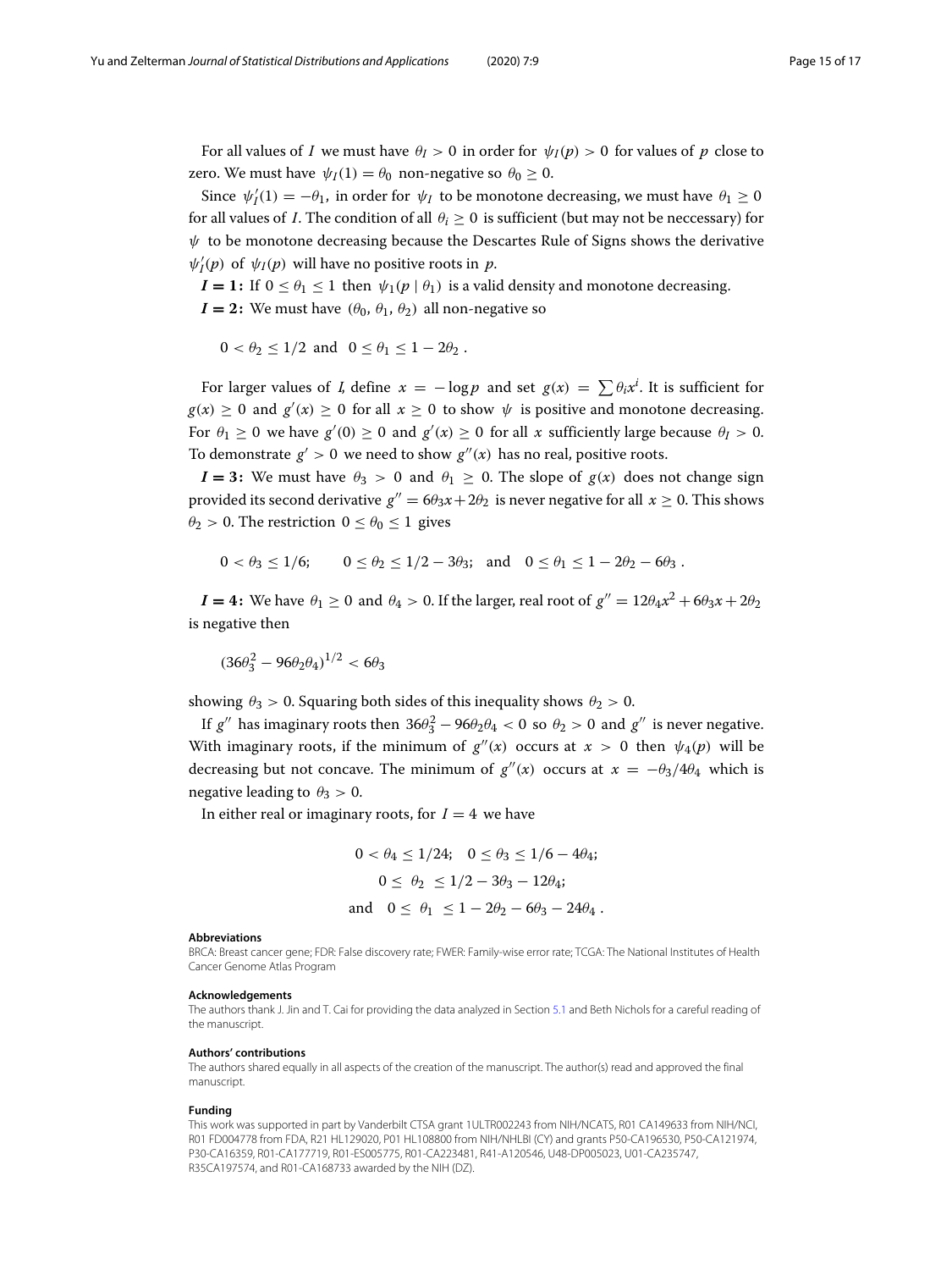For all values of *I* we must have  $\theta$ *I* > 0 in order for  $\psi$ *I*(*p*) > 0 for values of *p* close to zero. We must have  $\psi_I(1) = \theta_0$  non-negative so  $\theta_0 \geq 0$ .

Since  $\psi'_I(1) = -\theta_1$ , in order for  $\psi_I$  to be monotone decreasing, we must have  $\theta_1 \ge 0$ for all values of *I*. The condition of all  $\theta_i > 0$  is sufficient (but may not be neccessary) for  $\psi$  to be monotone decreasing because the Descartes Rule of Signs shows the derivative  $\psi_I'(p)$  of  $\psi_I(p)$  will have no positive roots in *p*.

*I* = 1: If  $0 \le \theta_1 \le 1$  then  $\psi_1(p \mid \theta_1)$  is a valid density and monotone decreasing.  $I = 2$ : We must have  $(\theta_0, \theta_1, \theta_2)$  all non-negative so

$$
0 < \theta_2 \le 1/2 \text{ and } 0 \le \theta_1 \le 1 - 2\theta_2.
$$

For larger values of *I*, define  $x = -\log p$  and set  $g(x) = \sum \theta_i x^i$ . It is sufficient for  $g(x) \geq 0$  and  $g'(x) \geq 0$  for all  $x \geq 0$  to show  $\psi$  is positive and monotone decreasing. For  $\theta_1 \geq 0$  we have  $g'(0) \geq 0$  and  $g'(x) \geq 0$  for all *x* sufficiently large because  $\theta_I > 0$ . To demonstrate  $g' > 0$  we need to show  $g''(x)$  has no real, positive roots.

 $I = 3$ : We must have  $\theta_3 > 0$  and  $\theta_1 \ge 0$ . The slope of  $g(x)$  does not change sign provided its second derivative  $g'' = 6\theta_3 x + 2\theta_2$  is never negative for all  $x \ge 0$ . This shows  $\theta_2 > 0$ . The restriction  $0 \le \theta_0 \le 1$  gives

$$
0 < \theta_3 \le 1/6;
$$
  $0 \le \theta_2 \le 1/2 - 3\theta_3;$  and  $0 \le \theta_1 \le 1 - 2\theta_2 - 6\theta_3.$ 

 $I = 4$ : We have  $\theta_1 \ge 0$  and  $\theta_4 > 0$ . If the larger, real root of  $g'' = 12\theta_4 x^2 + 6\theta_3 x + 2\theta_2$ is negative then

$$
(36\theta_3^2 - 96\theta_2\theta_4)^{1/2} < 6\theta_3
$$

showing  $\theta_3 > 0$ . Squaring both sides of this inequality shows  $\theta_2 > 0$ .

If  $g''$  has imaginary roots then  $36\theta_3^2 - 96\theta_2\theta_4 < 0$  so  $\theta_2 > 0$  and  $g''$  is never negative. With imaginary roots, if the minimum of  $g''(x)$  occurs at  $x > 0$  then  $\psi_4(p)$  will be decreasing but not concave. The minimum of  $g''(x)$  occurs at  $x = -\theta_3/4\theta_4$  which is negative leading to  $\theta_3 > 0$ .

In either real or imaginary roots, for  $I = 4$  we have

$$
0 < \theta_4 \le 1/24; \quad 0 \le \theta_3 \le 1/6 - 4\theta_4; \\
0 \le \theta_2 \le 1/2 - 3\theta_3 - 12\theta_4; \\
\text{and} \quad 0 \le \theta_1 \le 1 - 2\theta_2 - 6\theta_3 - 24\theta_4.
$$

#### **Abbreviations**

BRCA: Breast cancer gene; FDR: False discovery rate; FWER: Family-wise error rate; TCGA: The National Institutes of Health Cancer Genome Atlas Program

#### **Acknowledgements**

The authors thank J. Jin and T. Cai for providing the data analyzed in Section [5.1](#page-5-2) and Beth Nichols for a careful reading of the manuscript.

#### **Authors' contributions**

The authors shared equally in all aspects of the creation of the manuscript. The author(s) read and approved the final manuscript.

#### **Funding**

This work was supported in part by Vanderbilt CTSA grant 1ULTR002243 from NIH/NCATS, R01 CA149633 from NIH/NCI, R01 FD004778 from FDA, R21 HL129020, P01 HL108800 from NIH/NHLBI (CY) and grants P50-CA196530, P50-CA121974, P30-CA16359, R01-CA177719, R01-ES005775, R01-CA223481, R41-A120546, U48-DP005023, U01-CA235747, R35CA197574, and R01-CA168733 awarded by the NIH (DZ).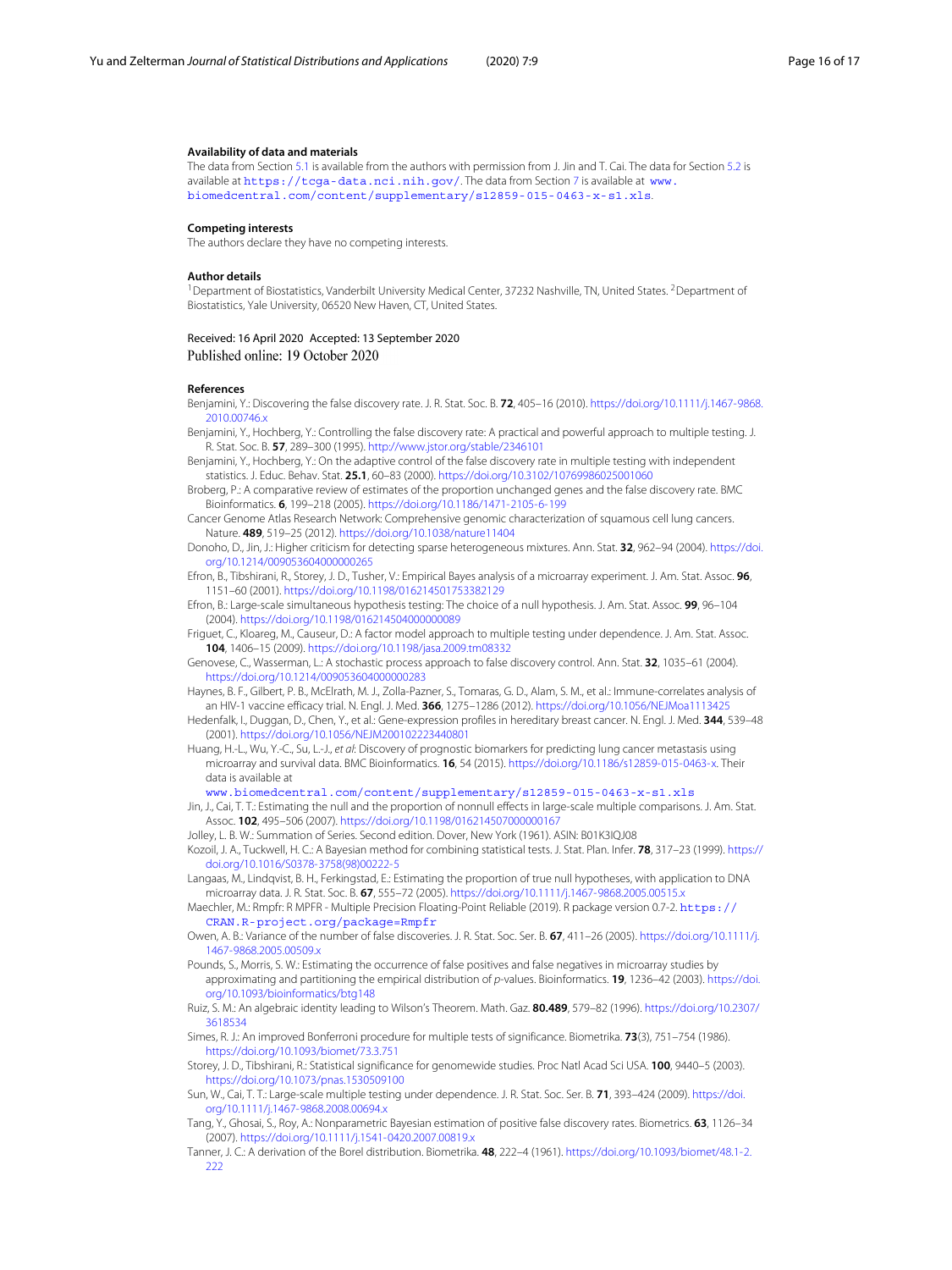#### **Availability of data and materials**

The data from Section [5.1](#page-5-2) is available from the authors with permission from J. Jin and T. Cai. The data for Section [5.2](#page-6-2) is available at <https://tcga-data.nci.nih.gov/>. The data from Section [7](#page-10-0) is available at [www.](www.biomedcentral.com/content/supplementary/s12859-015-0463-x-s1.xls) [biomedcentral.com/content/supplementary/s12859-015-0463-x-s1.xls](www.biomedcentral.com/content/supplementary/s12859-015-0463-x-s1.xls).

#### **Competing interests**

The authors declare they have no competing interests.

#### **Author details**

<sup>1</sup>Department of Biostatistics, Vanderbilt University Medical Center, 37232 Nashville, TN, United States. <sup>2</sup>Department of Biostatistics, Yale University, 06520 New Haven, CT, United States.

#### Received: 16 April 2020 Accepted: 13 September 2020 Published online: 19 October 2020

#### **References**

<span id="page-15-0"></span>Benjamini, Y.: Discovering the false discovery rate. J. R. Stat. Soc. B. **72**, 405–16 (2010). [https://doi.org/10.1111/j.1467-9868.](https://doi.org/10.1111/j.1467-9868.2010.00746.x) [2010.00746.x](https://doi.org/10.1111/j.1467-9868.2010.00746.x)

<span id="page-15-2"></span>Benjamini, Y., Hochberg, Y.: Controlling the false discovery rate: A practical and powerful approach to multiple testing. J. R. Stat. Soc. B. **57**, 289–300 (1995). <http://www.jstor.org/stable/2346101>

<span id="page-15-12"></span>Benjamini, Y., Hochberg, Y.: On the adaptive control of the false discovery rate in multiple testing with independent statistics. J. Educ. Behav. Stat. **25.1**, 60–83 (2000). <https://doi.org/10.3102/10769986025001060>

<span id="page-15-4"></span>Broberg, P.: A comparative review of estimates of the proportion unchanged genes and the false discovery rate. BMC Bioinformatics. **6**, 199–218 (2005). <https://doi.org/10.1186/1471-2105-6-199>

<span id="page-15-21"></span>Cancer Genome Atlas Research Network: Comprehensive genomic characterization of squamous cell lung cancers. Nature. **489**, 519–25 (2012). <https://doi.org/10.1038/nature11404>

<span id="page-15-17"></span>Donoho, D., Jin, J.: Higher criticism for detecting sparse heterogeneous mixtures. Ann. Stat. **32**, 962–94 (2004). [https://doi.](https://doi.org/10.1214/009053604000000265) [org/10.1214/009053604000000265](https://doi.org/10.1214/009053604000000265)

<span id="page-15-7"></span>Efron, B., Tibshirani, R., Storey, J. D., Tusher, V.: Empirical Bayes analysis of a microarray experiment. J. Am. Stat. Assoc. **96**, 1151–60 (2001). <https://doi.org/10.1198/016214501753382129>

<span id="page-15-8"></span>Efron, B.: Large-scale simultaneous hypothesis testing: The choice of a null hypothesis. J. Am. Stat. Assoc. **99**, 96–104 (2004). <https://doi.org/10.1198/016214504000000089>

<span id="page-15-14"></span>Friguet, C., Kloareg, M., Causeur, D.: A factor model approach to multiple testing under dependence. J. Am. Stat. Assoc. **104**, 1406–15 (2009). <https://doi.org/10.1198/jasa.2009.tm08332>

<span id="page-15-3"></span>Genovese, C., Wasserman, L.: A stochastic process approach to false discovery control. Ann. Stat. **32**, 1035–61 (2004). <https://doi.org/10.1214/009053604000000283>

<span id="page-15-24"></span>Haynes, B. F., Gilbert, P. B., McElrath, M. J., Zolla-Pazner, S., Tomaras, G. D., Alam, S. M., et al.: Immune-correlates analysis of an HIV-1 vaccine efficacy trial. N. Engl. J. Med. **366**, 1275–1286 (2012). <https://doi.org/10.1056/NEJMoa1113425>

<span id="page-15-19"></span>Hedenfalk, I., Duggan, D., Chen, Y., et al.: Gene-expression profiles in hereditary breast cancer. N. Engl. J. Med. **344**, 539–48 (2001). <https://doi.org/10.1056/NEJM200102223440801>

<span id="page-15-23"></span>Huang, H.-L., Wu, Y.-C., Su, L.-J., et al: Discovery of prognostic biomarkers for predicting lung cancer metastasis using microarray and survival data. BMC Bioinformatics. **16**, 54 (2015). [https://doi.org/10.1186/s12859-015-0463-x.](https://doi.org/10.1186/s12859-015-0463-x) Their data is available at

[www.biomedcentral.com/content/supplementary/s12859-015-0463-x-s1.xls](https://www.biomedcentral.com/content/supplementary/s12859-015-0463-x-s1.xls)

<span id="page-15-9"></span>Jin, J., Cai, T. T.: Estimating the null and the proportion of nonnull effects in large-scale multiple comparisons. J. Am. Stat. Assoc. **102**, 495–506 (2007). <https://doi.org/10.1198/016214507000000167>

<span id="page-15-15"></span>Jolley, L. B. W.: Summation of Series. Second edition. Dover, New York (1961). ASIN: B01K3IQJ08

<span id="page-15-11"></span>Kozoil, J. A., Tuckwell, H. C.: A Bayesian method for combining statistical tests. J. Stat. Plan. Infer. **78**, 317–23 (1999). [https://](https://doi.org/10.1016/S0378-3758(98)00222-5) [doi.org/10.1016/S0378-3758\(98\)00222-5](https://doi.org/10.1016/S0378-3758(98)00222-5)

<span id="page-15-5"></span>Langaas, M., Lindqvist, B. H., Ferkingstad, E.: Estimating the proportion of true null hypotheses, with application to DNA microarray data. J. R. Stat. Soc. B. **67**, 555–72 (2005). <https://doi.org/10.1111/j.1467-9868.2005.00515.x>

<span id="page-15-18"></span>Maechler, M.: Rmpfr: R MPFR - Multiple Precision Floating-Point Reliable (2019). R package version 0.7-2. [https://](https://CRAN.R-project.org/package=Rmpfr) [CRAN.R-project.org/package=Rmpfr](https://CRAN.R-project.org/package=Rmpfr)

<span id="page-15-22"></span>Owen, A. B.: Variance of the number of false discoveries. J. R. Stat. Soc. Ser. B. **67**, 411–26 (2005). [https://doi.org/10.1111/j.](https://doi.org/10.1111/j.1467-9868.2005.00509.x) [1467-9868.2005.00509.x](https://doi.org/10.1111/j.1467-9868.2005.00509.x)

<span id="page-15-10"></span>Pounds, S., Morris, S. W.: Estimating the occurrence of false positives and false negatives in microarray studies by approximating and partitioning the empirical distribution of p-values. Bioinformatics. **19**, 1236–42 (2003). [https://doi.](https://doi.org/10.1093/bioinformatics/btg148) [org/10.1093/bioinformatics/btg148](https://doi.org/10.1093/bioinformatics/btg148)

<span id="page-15-25"></span>Ruiz, S. M.: An algebraic identity leading to Wilson's Theorem. Math. Gaz. **80.489**, 579–82 (1996). [https://doi.org/10.2307/](https://doi.org/10.2307/3618534) [3618534](https://doi.org/10.2307/3618534)

<span id="page-15-1"></span>Simes, R. J.: An improved Bonferroni procedure for multiple tests of significance. Biometrika. **73**(3), 751–754 (1986). <https://doi.org/10.1093/biomet/73.3.751>

<span id="page-15-20"></span>Storey, J. D., Tibshirani, R.: Statistical significance for genomewide studies. Proc Natl Acad Sci USA. **100**, 9440–5 (2003). <https://doi.org/10.1073/pnas.1530509100>

<span id="page-15-13"></span>Sun, W., Cai, T. T.: Large-scale multiple testing under dependence. J. R. Stat. Soc. Ser. B. **71**, 393–424 (2009). [https://doi.](https://doi.org/10.1111/j.1467-9868.2008.00694.x) [org/10.1111/j.1467-9868.2008.00694.x](https://doi.org/10.1111/j.1467-9868.2008.00694.x)

<span id="page-15-6"></span>Tang, Y., Ghosai, S., Roy, A.: Nonparametric Bayesian estimation of positive false discovery rates. Biometrics. **63**, 1126–34 (2007). <https://doi.org/10.1111/j.1541-0420.2007.00819.x>

<span id="page-15-16"></span>Tanner, J. C.: A derivation of the Borel distribution. Biometrika. **48**, 222–4 (1961). [https://doi.org/10.1093/biomet/48.1-2.](https://doi.org/10.1093/biomet/48.1-2.222)  $222$